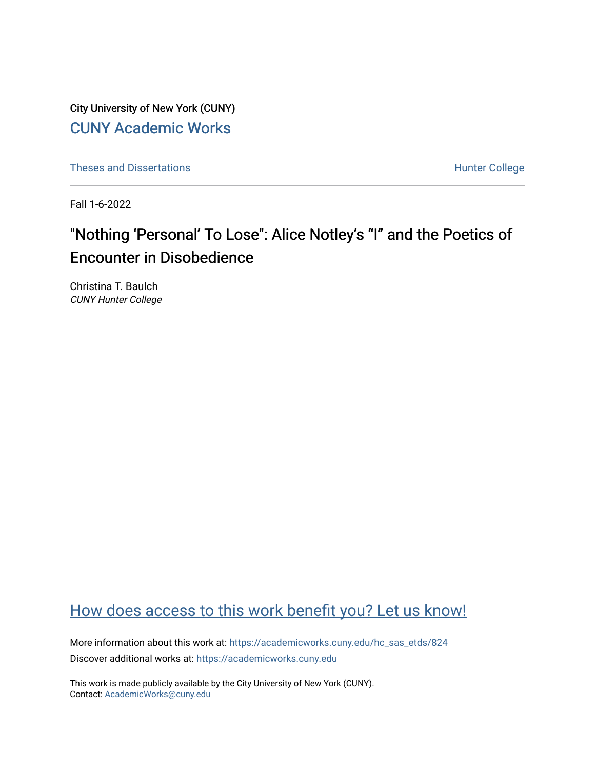City University of New York (CUNY) [CUNY Academic Works](https://academicworks.cuny.edu/) 

[Theses and Dissertations](https://academicworks.cuny.edu/hc_sas_etds) **Hunter College** 

Fall 1-6-2022

# "Nothing 'Personal' To Lose": Alice Notley's "I" and the Poetics of Encounter in Disobedience

Christina T. Baulch CUNY Hunter College

## [How does access to this work benefit you? Let us know!](http://ols.cuny.edu/academicworks/?ref=https://academicworks.cuny.edu/hc_sas_etds/824)

More information about this work at: [https://academicworks.cuny.edu/hc\\_sas\\_etds/824](https://academicworks.cuny.edu/hc_sas_etds/824)  Discover additional works at: [https://academicworks.cuny.edu](https://academicworks.cuny.edu/?)

This work is made publicly available by the City University of New York (CUNY). Contact: [AcademicWorks@cuny.edu](mailto:AcademicWorks@cuny.edu)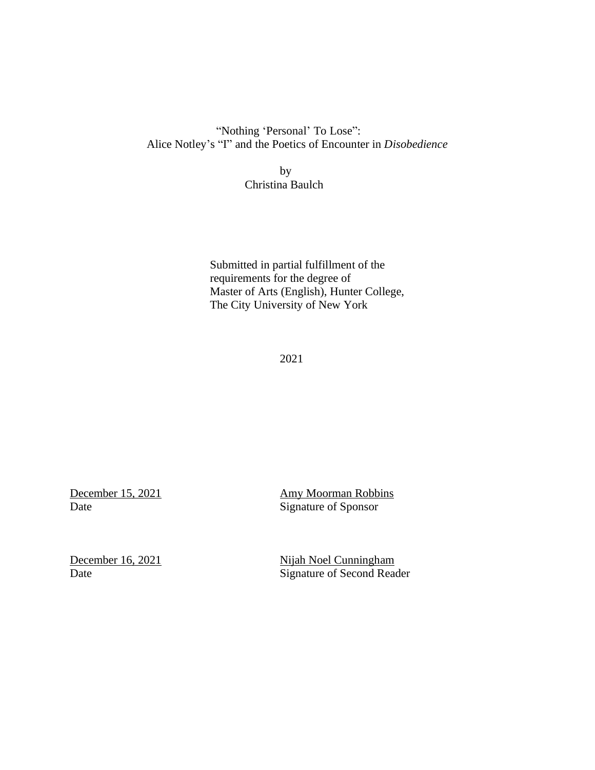"Nothing 'Personal' To Lose": Alice Notley's "I" and the Poetics of Encounter in *Disobedience*

> by Christina Baulch

Submitted in partial fulfillment of the requirements for the degree of Master of Arts (English), Hunter College, The City University of New York

2021

**December 15, 2021 Amy Moorman Robbins** Date Signature of Sponsor

December 16, 2021 Nijah Noel Cunningham Date Signature of Second Reader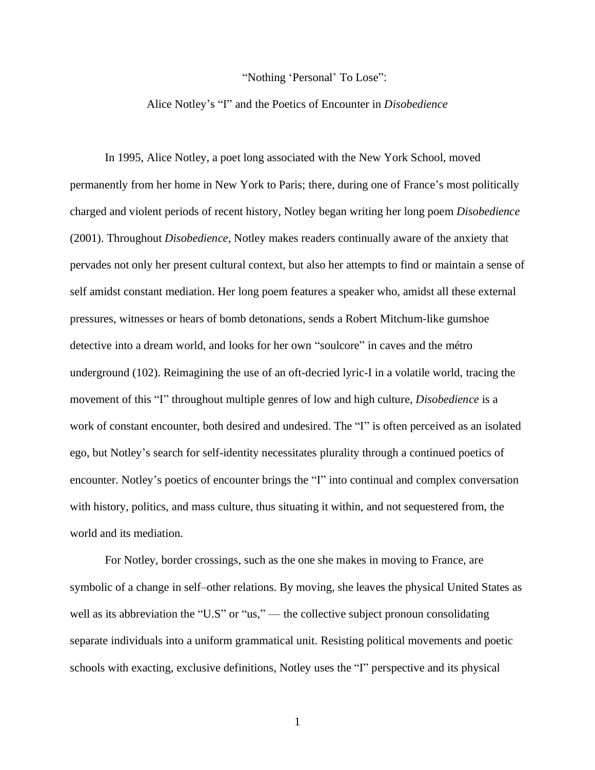#### "Nothing 'Personal' To Lose":

## Alice Notley's "I" and the Poetics of Encounter in *Disobedience*

In 1995, Alice Notley, a poet long associated with the New York School, moved permanently from her home in New York to Paris; there, during one of France's most politically charged and violent periods of recent history, Notley began writing her long poem *Disobedience* (2001). Throughout *Disobedience*, Notley makes readers continually aware of the anxiety that pervades not only her present cultural context, but also her attempts to find or maintain a sense of self amidst constant mediation. Her long poem features a speaker who, amidst all these external pressures, witnesses or hears of bomb detonations, sends a Robert Mitchum-like gumshoe detective into a dream world, and looks for her own "soulcore" in caves and the métro underground (102). Reimagining the use of an oft-decried lyric-I in a volatile world, tracing the movement of this "I" throughout multiple genres of low and high culture, *Disobedience* is a work of constant encounter, both desired and undesired. The "I" is often perceived as an isolated ego, but Notley's search for self-identity necessitates plurality through a continued poetics of encounter. Notley's poetics of encounter brings the "I" into continual and complex conversation with history, politics, and mass culture, thus situating it within, and not sequestered from, the world and its mediation.

For Notley, border crossings, such as the one she makes in moving to France, are symbolic of a change in self–other relations. By moving, she leaves the physical United States as well as its abbreviation the "U.S" or "us," — the collective subject pronoun consolidating separate individuals into a uniform grammatical unit. Resisting political movements and poetic schools with exacting, exclusive definitions, Notley uses the "I" perspective and its physical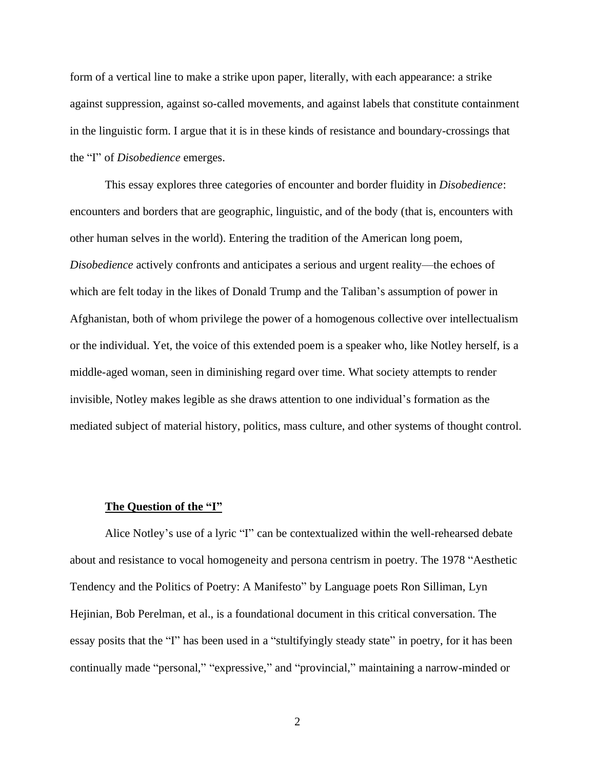form of a vertical line to make a strike upon paper, literally, with each appearance: a strike against suppression, against so-called movements, and against labels that constitute containment in the linguistic form. I argue that it is in these kinds of resistance and boundary-crossings that the "I" of *Disobedience* emerges.

This essay explores three categories of encounter and border fluidity in *Disobedience*: encounters and borders that are geographic, linguistic, and of the body (that is, encounters with other human selves in the world). Entering the tradition of the American long poem, *Disobedience* actively confronts and anticipates a serious and urgent reality––the echoes of which are felt today in the likes of Donald Trump and the Taliban's assumption of power in Afghanistan, both of whom privilege the power of a homogenous collective over intellectualism or the individual. Yet, the voice of this extended poem is a speaker who, like Notley herself, is a middle-aged woman, seen in diminishing regard over time. What society attempts to render invisible, Notley makes legible as she draws attention to one individual's formation as the mediated subject of material history, politics, mass culture, and other systems of thought control.

## **The Question of the "I"**

Alice Notley's use of a lyric "I" can be contextualized within the well-rehearsed debate about and resistance to vocal homogeneity and persona centrism in poetry. The 1978 "Aesthetic Tendency and the Politics of Poetry: A Manifesto" by Language poets Ron Silliman, Lyn Hejinian, Bob Perelman, et al., is a foundational document in this critical conversation. The essay posits that the "I" has been used in a "stultifyingly steady state" in poetry, for it has been continually made "personal," "expressive," and "provincial," maintaining a narrow-minded or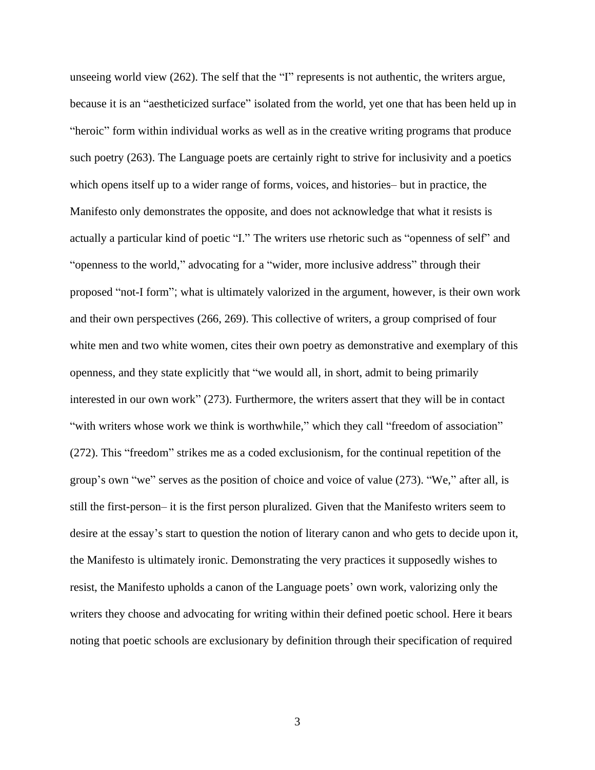unseeing world view (262). The self that the "I" represents is not authentic, the writers argue, because it is an "aestheticized surface" isolated from the world, yet one that has been held up in "heroic" form within individual works as well as in the creative writing programs that produce such poetry (263). The Language poets are certainly right to strive for inclusivity and a poetics which opens itself up to a wider range of forms, voices, and histories– but in practice, the Manifesto only demonstrates the opposite, and does not acknowledge that what it resists is actually a particular kind of poetic "I." The writers use rhetoric such as "openness of self" and "openness to the world," advocating for a "wider, more inclusive address" through their proposed "not-I form"; what is ultimately valorized in the argument, however, is their own work and their own perspectives (266, 269). This collective of writers, a group comprised of four white men and two white women, cites their own poetry as demonstrative and exemplary of this openness, and they state explicitly that "we would all, in short, admit to being primarily interested in our own work" (273). Furthermore, the writers assert that they will be in contact "with writers whose work we think is worthwhile," which they call "freedom of association" (272). This "freedom" strikes me as a coded exclusionism, for the continual repetition of the group's own "we" serves as the position of choice and voice of value (273). "We," after all, is still the first-person– it is the first person pluralized. Given that the Manifesto writers seem to desire at the essay's start to question the notion of literary canon and who gets to decide upon it, the Manifesto is ultimately ironic. Demonstrating the very practices it supposedly wishes to resist, the Manifesto upholds a canon of the Language poets' own work, valorizing only the writers they choose and advocating for writing within their defined poetic school. Here it bears noting that poetic schools are exclusionary by definition through their specification of required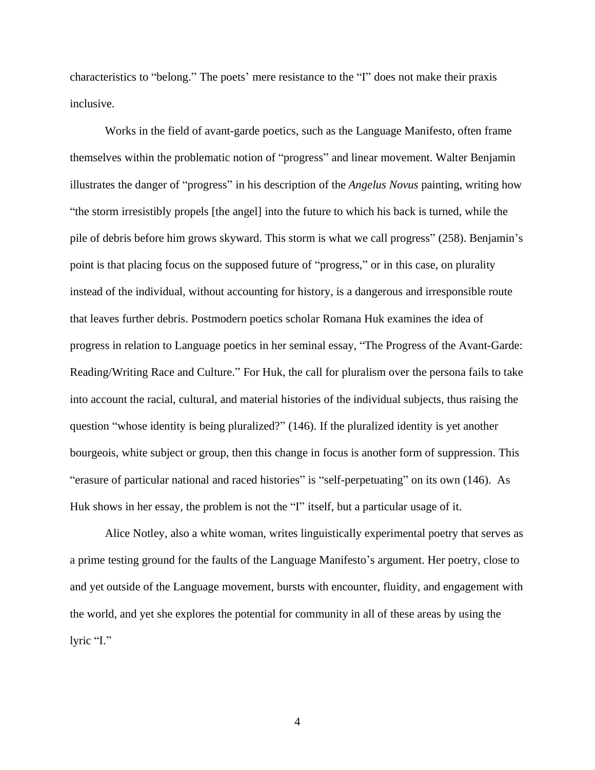characteristics to "belong." The poets' mere resistance to the "I" does not make their praxis inclusive.

Works in the field of avant-garde poetics, such as the Language Manifesto, often frame themselves within the problematic notion of "progress" and linear movement. Walter Benjamin illustrates the danger of "progress" in his description of the *Angelus Novus* painting, writing how "the storm irresistibly propels [the angel] into the future to which his back is turned, while the pile of debris before him grows skyward. This storm is what we call progress" (258). Benjamin's point is that placing focus on the supposed future of "progress," or in this case, on plurality instead of the individual, without accounting for history, is a dangerous and irresponsible route that leaves further debris. Postmodern poetics scholar Romana Huk examines the idea of progress in relation to Language poetics in her seminal essay, "The Progress of the Avant-Garde: Reading/Writing Race and Culture." For Huk, the call for pluralism over the persona fails to take into account the racial, cultural, and material histories of the individual subjects, thus raising the question "whose identity is being pluralized?" (146). If the pluralized identity is yet another bourgeois, white subject or group, then this change in focus is another form of suppression. This "erasure of particular national and raced histories" is "self-perpetuating" on its own (146). As Huk shows in her essay, the problem is not the "I" itself, but a particular usage of it.

Alice Notley, also a white woman, writes linguistically experimental poetry that serves as a prime testing ground for the faults of the Language Manifesto's argument. Her poetry, close to and yet outside of the Language movement, bursts with encounter, fluidity, and engagement with the world, and yet she explores the potential for community in all of these areas by using the lyric "I."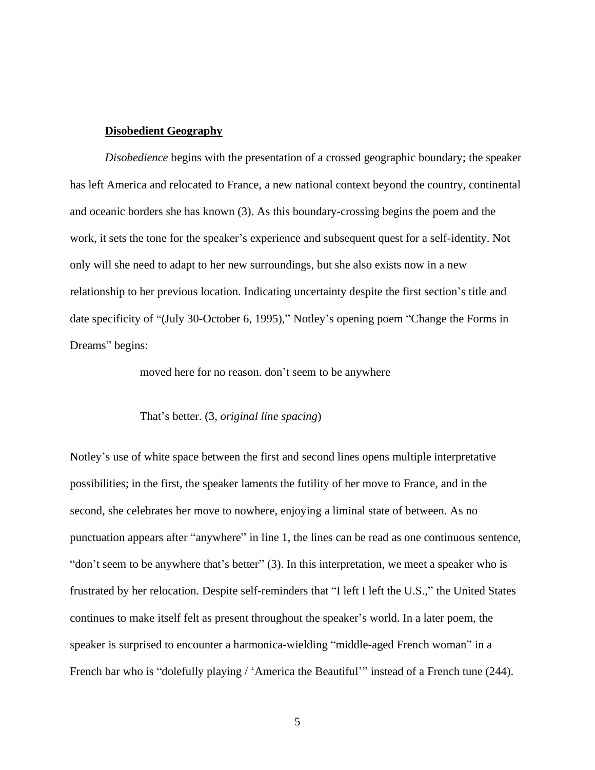## **Disobedient Geography**

*Disobedience* begins with the presentation of a crossed geographic boundary; the speaker has left America and relocated to France, a new national context beyond the country, continental and oceanic borders she has known (3). As this boundary-crossing begins the poem and the work, it sets the tone for the speaker's experience and subsequent quest for a self-identity. Not only will she need to adapt to her new surroundings, but she also exists now in a new relationship to her previous location. Indicating uncertainty despite the first section's title and date specificity of "(July 30-October 6, 1995)," Notley's opening poem "Change the Forms in Dreams" begins:

moved here for no reason. don't seem to be anywhere

## That's better. (3, *original line spacing*)

Notley's use of white space between the first and second lines opens multiple interpretative possibilities; in the first, the speaker laments the futility of her move to France, and in the second, she celebrates her move to nowhere, enjoying a liminal state of between. As no punctuation appears after "anywhere" in line 1, the lines can be read as one continuous sentence, "don't seem to be anywhere that's better" (3). In this interpretation, we meet a speaker who is frustrated by her relocation. Despite self-reminders that "I left I left the U.S.," the United States continues to make itself felt as present throughout the speaker's world. In a later poem, the speaker is surprised to encounter a harmonica-wielding "middle-aged French woman" in a French bar who is "dolefully playing / 'America the Beautiful'" instead of a French tune (244).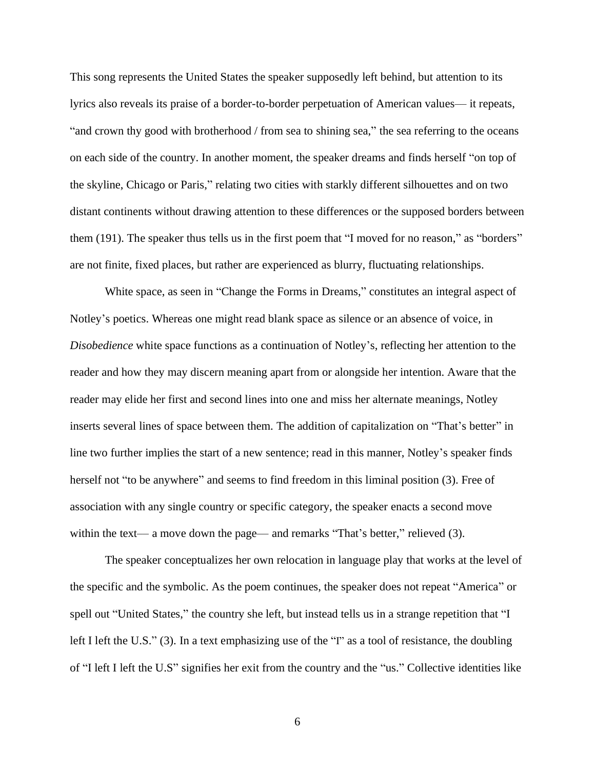This song represents the United States the speaker supposedly left behind, but attention to its lyrics also reveals its praise of a border-to-border perpetuation of American values–– it repeats, "and crown thy good with brotherhood / from sea to shining sea," the sea referring to the oceans on each side of the country. In another moment, the speaker dreams and finds herself "on top of the skyline, Chicago or Paris," relating two cities with starkly different silhouettes and on two distant continents without drawing attention to these differences or the supposed borders between them (191). The speaker thus tells us in the first poem that "I moved for no reason," as "borders" are not finite, fixed places, but rather are experienced as blurry, fluctuating relationships.

White space, as seen in "Change the Forms in Dreams," constitutes an integral aspect of Notley's poetics. Whereas one might read blank space as silence or an absence of voice, in *Disobedience* white space functions as a continuation of Notley's, reflecting her attention to the reader and how they may discern meaning apart from or alongside her intention. Aware that the reader may elide her first and second lines into one and miss her alternate meanings, Notley inserts several lines of space between them. The addition of capitalization on "That's better" in line two further implies the start of a new sentence; read in this manner, Notley's speaker finds herself not "to be anywhere" and seems to find freedom in this liminal position (3). Free of association with any single country or specific category, the speaker enacts a second move within the text— a move down the page— and remarks "That's better," relieved (3).

The speaker conceptualizes her own relocation in language play that works at the level of the specific and the symbolic. As the poem continues, the speaker does not repeat "America" or spell out "United States," the country she left, but instead tells us in a strange repetition that "I left I left the U.S." (3). In a text emphasizing use of the "I" as a tool of resistance, the doubling of "I left I left the U.S" signifies her exit from the country and the "us." Collective identities like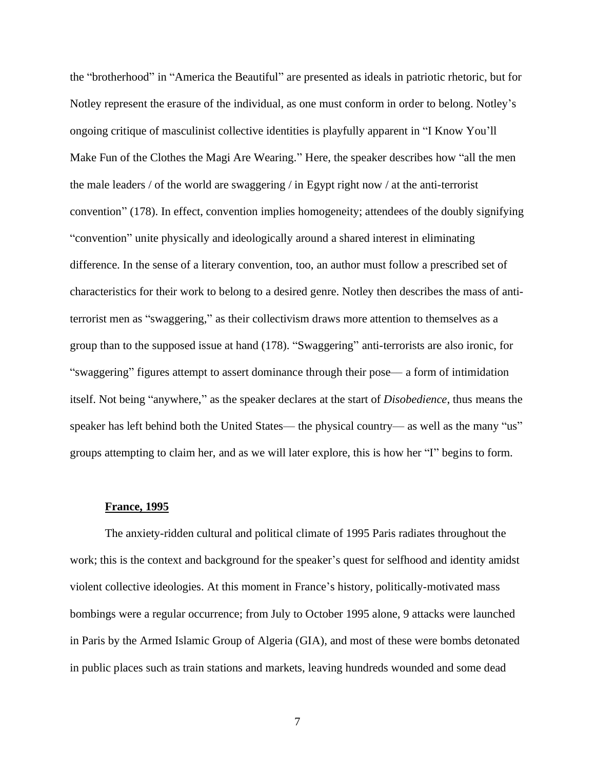the "brotherhood" in "America the Beautiful" are presented as ideals in patriotic rhetoric, but for Notley represent the erasure of the individual, as one must conform in order to belong. Notley's ongoing critique of masculinist collective identities is playfully apparent in "I Know You'll Make Fun of the Clothes the Magi Are Wearing." Here, the speaker describes how "all the men the male leaders / of the world are swaggering / in Egypt right now / at the anti-terrorist convention" (178). In effect, convention implies homogeneity; attendees of the doubly signifying "convention" unite physically and ideologically around a shared interest in eliminating difference. In the sense of a literary convention, too, an author must follow a prescribed set of characteristics for their work to belong to a desired genre. Notley then describes the mass of antiterrorist men as "swaggering," as their collectivism draws more attention to themselves as a group than to the supposed issue at hand (178). "Swaggering" anti-terrorists are also ironic, for "swaggering" figures attempt to assert dominance through their pose–– a form of intimidation itself. Not being "anywhere," as the speaker declares at the start of *Disobedience*, thus means the speaker has left behind both the United States— the physical country— as well as the many "us" groups attempting to claim her, and as we will later explore, this is how her "I" begins to form.

#### **France, 1995**

The anxiety-ridden cultural and political climate of 1995 Paris radiates throughout the work; this is the context and background for the speaker's quest for selfhood and identity amidst violent collective ideologies. At this moment in France's history, politically-motivated mass bombings were a regular occurrence; from July to October 1995 alone, 9 attacks were launched in Paris by the Armed Islamic Group of Algeria (GIA), and most of these were bombs detonated in public places such as train stations and markets, leaving hundreds wounded and some dead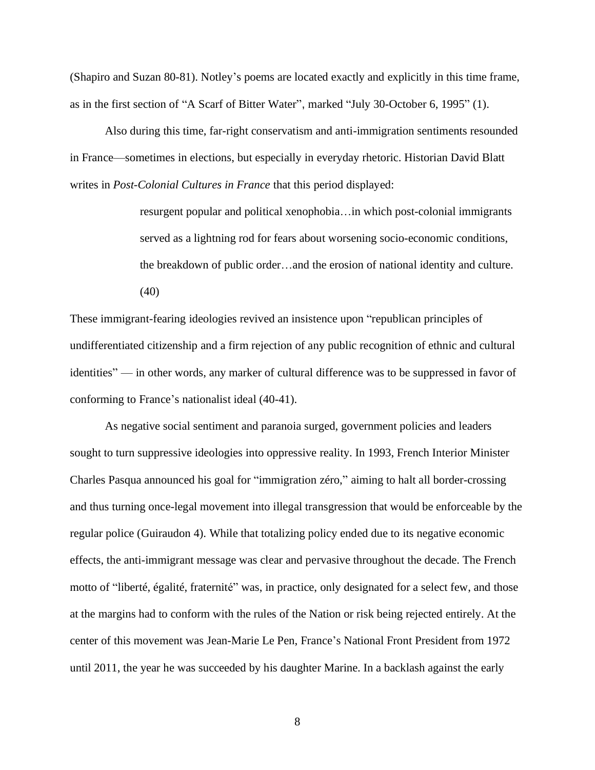(Shapiro and Suzan 80-81). Notley's poems are located exactly and explicitly in this time frame, as in the first section of "A Scarf of Bitter Water", marked "July 30-October 6, 1995" (1).

Also during this time, far-right conservatism and anti-immigration sentiments resounded in France––sometimes in elections, but especially in everyday rhetoric. Historian David Blatt writes in *Post-Colonial Cultures in France* that this period displayed:

> resurgent popular and political xenophobia…in which post-colonial immigrants served as a lightning rod for fears about worsening socio-economic conditions, the breakdown of public order…and the erosion of national identity and culture. (40)

These immigrant-fearing ideologies revived an insistence upon "republican principles of undifferentiated citizenship and a firm rejection of any public recognition of ethnic and cultural identities" –– in other words, any marker of cultural difference was to be suppressed in favor of conforming to France's nationalist ideal (40-41).

As negative social sentiment and paranoia surged, government policies and leaders sought to turn suppressive ideologies into oppressive reality. In 1993, French Interior Minister Charles Pasqua announced his goal for "immigration zéro," aiming to halt all border-crossing and thus turning once-legal movement into illegal transgression that would be enforceable by the regular police (Guiraudon 4). While that totalizing policy ended due to its negative economic effects, the anti-immigrant message was clear and pervasive throughout the decade. The French motto of "liberté, égalité, fraternité" was, in practice, only designated for a select few, and those at the margins had to conform with the rules of the Nation or risk being rejected entirely. At the center of this movement was Jean-Marie Le Pen, France's National Front President from 1972 until 2011, the year he was succeeded by his daughter Marine. In a backlash against the early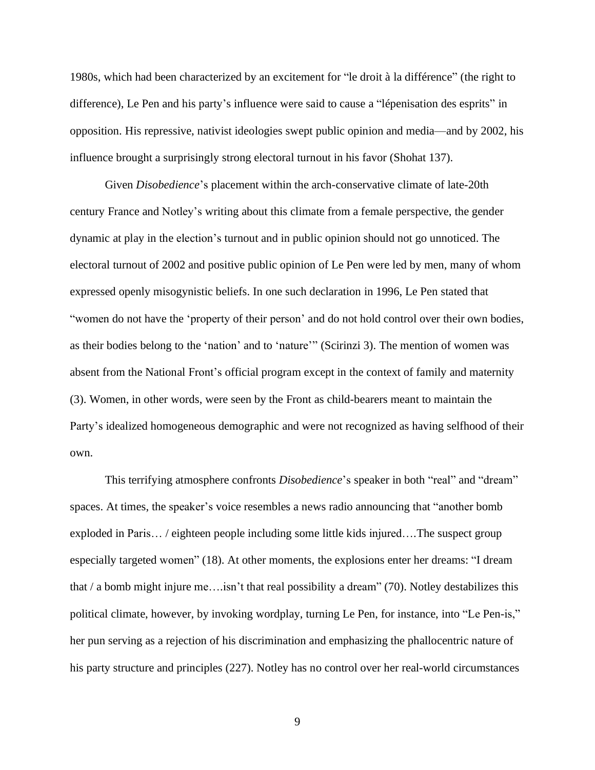1980s, which had been characterized by an excitement for "le droit à la différence" (the right to difference), Le Pen and his party's influence were said to cause a "lépenisation des esprits" in opposition. His repressive, nativist ideologies swept public opinion and media––and by 2002, his influence brought a surprisingly strong electoral turnout in his favor (Shohat 137).

Given *Disobedience*'s placement within the arch-conservative climate of late-20th century France and Notley's writing about this climate from a female perspective, the gender dynamic at play in the election's turnout and in public opinion should not go unnoticed. The electoral turnout of 2002 and positive public opinion of Le Pen were led by men, many of whom expressed openly misogynistic beliefs. In one such declaration in 1996, Le Pen stated that "women do not have the 'property of their person' and do not hold control over their own bodies, as their bodies belong to the 'nation' and to 'nature'" (Scirinzi 3). The mention of women was absent from the National Front's official program except in the context of family and maternity (3). Women, in other words, were seen by the Front as child-bearers meant to maintain the Party's idealized homogeneous demographic and were not recognized as having selfhood of their own.

This terrifying atmosphere confronts *Disobedience*'s speaker in both "real" and "dream" spaces. At times, the speaker's voice resembles a news radio announcing that "another bomb exploded in Paris… / eighteen people including some little kids injured….The suspect group especially targeted women" (18). At other moments, the explosions enter her dreams: "I dream that / a bomb might injure me….isn't that real possibility a dream" (70). Notley destabilizes this political climate, however, by invoking wordplay, turning Le Pen, for instance, into "Le Pen-is," her pun serving as a rejection of his discrimination and emphasizing the phallocentric nature of his party structure and principles (227). Notley has no control over her real-world circumstances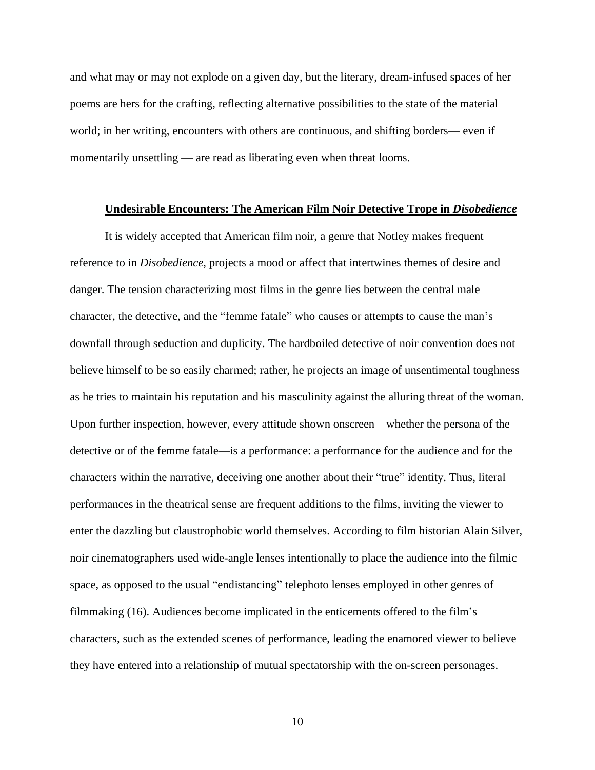and what may or may not explode on a given day, but the literary, dream-infused spaces of her poems are hers for the crafting, reflecting alternative possibilities to the state of the material world; in her writing, encounters with others are continuous, and shifting borders— even if momentarily unsettling — are read as liberating even when threat looms.

## **Undesirable Encounters: The American Film Noir Detective Trope in** *Disobedience*

It is widely accepted that American film noir, a genre that Notley makes frequent reference to in *Disobedience*, projects a mood or affect that intertwines themes of desire and danger. The tension characterizing most films in the genre lies between the central male character, the detective, and the "femme fatale" who causes or attempts to cause the man's downfall through seduction and duplicity. The hardboiled detective of noir convention does not believe himself to be so easily charmed; rather, he projects an image of unsentimental toughness as he tries to maintain his reputation and his masculinity against the alluring threat of the woman. Upon further inspection, however, every attitude shown onscreen––whether the persona of the detective or of the femme fatale—is a performance: a performance for the audience and for the characters within the narrative, deceiving one another about their "true" identity. Thus, literal performances in the theatrical sense are frequent additions to the films, inviting the viewer to enter the dazzling but claustrophobic world themselves. According to film historian Alain Silver, noir cinematographers used wide-angle lenses intentionally to place the audience into the filmic space, as opposed to the usual "endistancing" telephoto lenses employed in other genres of filmmaking (16). Audiences become implicated in the enticements offered to the film's characters, such as the extended scenes of performance, leading the enamored viewer to believe they have entered into a relationship of mutual spectatorship with the on-screen personages.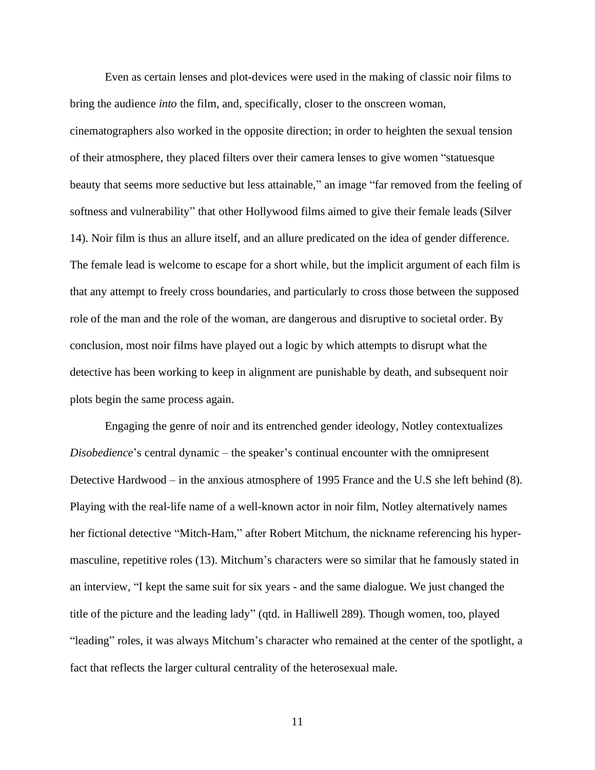Even as certain lenses and plot-devices were used in the making of classic noir films to bring the audience *into* the film, and, specifically, closer to the onscreen woman, cinematographers also worked in the opposite direction; in order to heighten the sexual tension of their atmosphere, they placed filters over their camera lenses to give women "statuesque beauty that seems more seductive but less attainable," an image "far removed from the feeling of softness and vulnerability" that other Hollywood films aimed to give their female leads (Silver 14). Noir film is thus an allure itself, and an allure predicated on the idea of gender difference. The female lead is welcome to escape for a short while, but the implicit argument of each film is that any attempt to freely cross boundaries, and particularly to cross those between the supposed role of the man and the role of the woman, are dangerous and disruptive to societal order. By conclusion, most noir films have played out a logic by which attempts to disrupt what the detective has been working to keep in alignment are punishable by death, and subsequent noir plots begin the same process again.

Engaging the genre of noir and its entrenched gender ideology, Notley contextualizes *Disobedience*'s central dynamic – the speaker's continual encounter with the omnipresent Detective Hardwood – in the anxious atmosphere of 1995 France and the U.S she left behind (8). Playing with the real-life name of a well-known actor in noir film, Notley alternatively names her fictional detective "Mitch-Ham," after Robert Mitchum, the nickname referencing his hypermasculine, repetitive roles (13). Mitchum's characters were so similar that he famously stated in an interview, "I kept the same suit for six years - and the same dialogue. We just changed the title of the picture and the leading lady" (qtd. in Halliwell 289). Though women, too, played "leading" roles, it was always Mitchum's character who remained at the center of the spotlight, a fact that reflects the larger cultural centrality of the heterosexual male.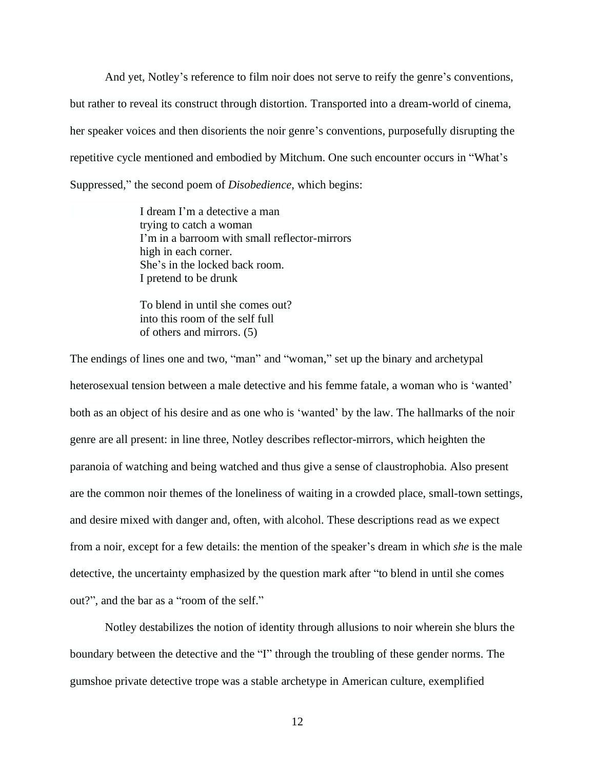And yet, Notley's reference to film noir does not serve to reify the genre's conventions, but rather to reveal its construct through distortion. Transported into a dream-world of cinema, her speaker voices and then disorients the noir genre's conventions, purposefully disrupting the repetitive cycle mentioned and embodied by Mitchum. One such encounter occurs in "What's Suppressed," the second poem of *Disobedience*, which begins:

> I dream I'm a detective a man trying to catch a woman I'm in a barroom with small reflector-mirrors high in each corner. She's in the locked back room. I pretend to be drunk

To blend in until she comes out? into this room of the self full of others and mirrors. (5)

The endings of lines one and two, "man" and "woman," set up the binary and archetypal heterosexual tension between a male detective and his femme fatale, a woman who is 'wanted' both as an object of his desire and as one who is 'wanted' by the law. The hallmarks of the noir genre are all present: in line three, Notley describes reflector-mirrors, which heighten the paranoia of watching and being watched and thus give a sense of claustrophobia. Also present are the common noir themes of the loneliness of waiting in a crowded place, small-town settings, and desire mixed with danger and, often, with alcohol. These descriptions read as we expect from a noir, except for a few details: the mention of the speaker's dream in which *she* is the male detective, the uncertainty emphasized by the question mark after "to blend in until she comes out?", and the bar as a "room of the self."

Notley destabilizes the notion of identity through allusions to noir wherein she blurs the boundary between the detective and the "I" through the troubling of these gender norms. The gumshoe private detective trope was a stable archetype in American culture, exemplified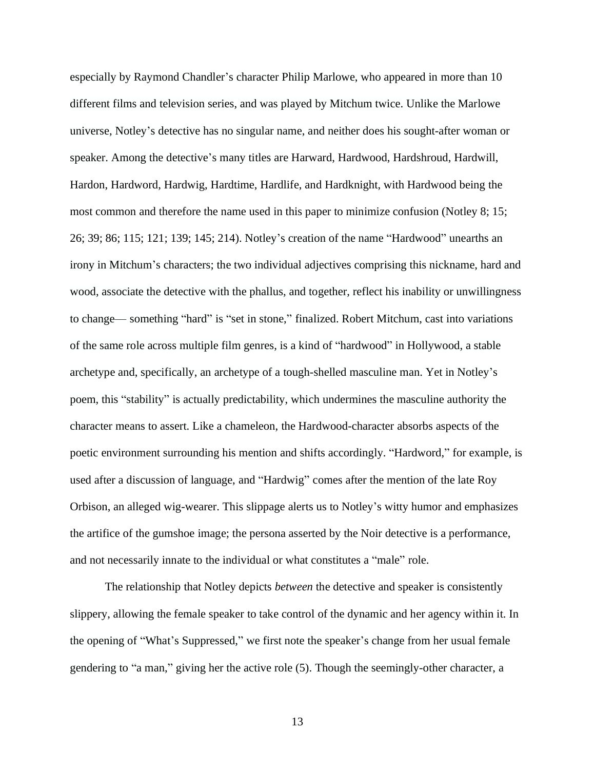especially by Raymond Chandler's character Philip Marlowe, who appeared in more than 10 different films and television series, and was played by Mitchum twice. Unlike the Marlowe universe, Notley's detective has no singular name, and neither does his sought-after woman or speaker. Among the detective's many titles are Harward, Hardwood, Hardshroud, Hardwill, Hardon, Hardword, Hardwig, Hardtime, Hardlife, and Hardknight, with Hardwood being the most common and therefore the name used in this paper to minimize confusion (Notley 8; 15; 26; 39; 86; 115; 121; 139; 145; 214). Notley's creation of the name "Hardwood" unearths an irony in Mitchum's characters; the two individual adjectives comprising this nickname, hard and wood, associate the detective with the phallus, and together, reflect his inability or unwillingness to change–– something "hard" is "set in stone," finalized. Robert Mitchum, cast into variations of the same role across multiple film genres, is a kind of "hardwood" in Hollywood, a stable archetype and, specifically, an archetype of a tough-shelled masculine man. Yet in Notley's poem, this "stability" is actually predictability, which undermines the masculine authority the character means to assert. Like a chameleon, the Hardwood-character absorbs aspects of the poetic environment surrounding his mention and shifts accordingly. "Hardword," for example, is used after a discussion of language, and "Hardwig" comes after the mention of the late Roy Orbison, an alleged wig-wearer. This slippage alerts us to Notley's witty humor and emphasizes the artifice of the gumshoe image; the persona asserted by the Noir detective is a performance, and not necessarily innate to the individual or what constitutes a "male" role.

The relationship that Notley depicts *between* the detective and speaker is consistently slippery, allowing the female speaker to take control of the dynamic and her agency within it. In the opening of "What's Suppressed," we first note the speaker's change from her usual female gendering to "a man," giving her the active role (5). Though the seemingly-other character, a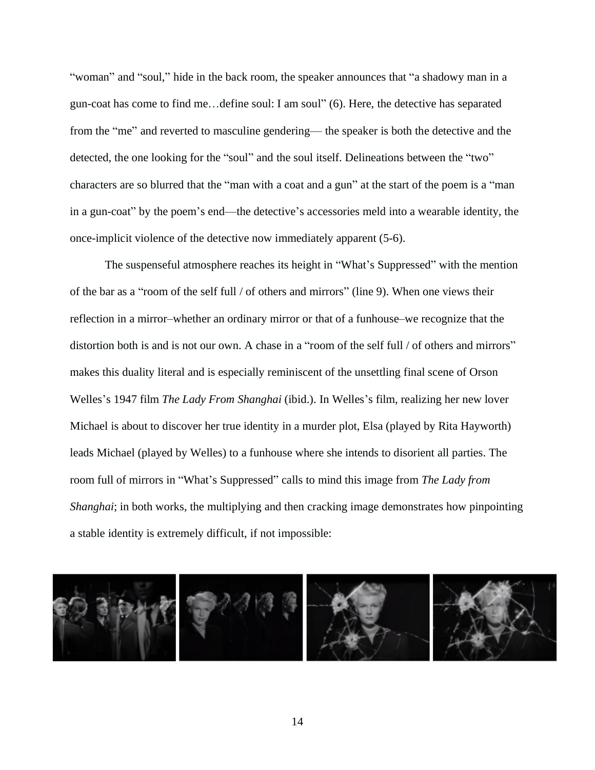"woman" and "soul," hide in the back room, the speaker announces that "a shadowy man in a gun-coat has come to find me…define soul: I am soul" (6). Here, the detective has separated from the "me" and reverted to masculine gendering–– the speaker is both the detective and the detected, the one looking for the "soul" and the soul itself. Delineations between the "two" characters are so blurred that the "man with a coat and a gun" at the start of the poem is a "man in a gun-coat" by the poem's end––the detective's accessories meld into a wearable identity, the once-implicit violence of the detective now immediately apparent (5-6).

The suspenseful atmosphere reaches its height in "What's Suppressed" with the mention of the bar as a "room of the self full / of others and mirrors" (line 9). When one views their reflection in a mirror–whether an ordinary mirror or that of a funhouse–we recognize that the distortion both is and is not our own. A chase in a "room of the self full / of others and mirrors" makes this duality literal and is especially reminiscent of the unsettling final scene of Orson Welles's 1947 film *The Lady From Shanghai* (ibid.). In Welles's film, realizing her new lover Michael is about to discover her true identity in a murder plot, Elsa (played by Rita Hayworth) leads Michael (played by Welles) to a funhouse where she intends to disorient all parties. The room full of mirrors in "What's Suppressed" calls to mind this image from *The Lady from Shanghai*; in both works, the multiplying and then cracking image demonstrates how pinpointing a stable identity is extremely difficult, if not impossible:

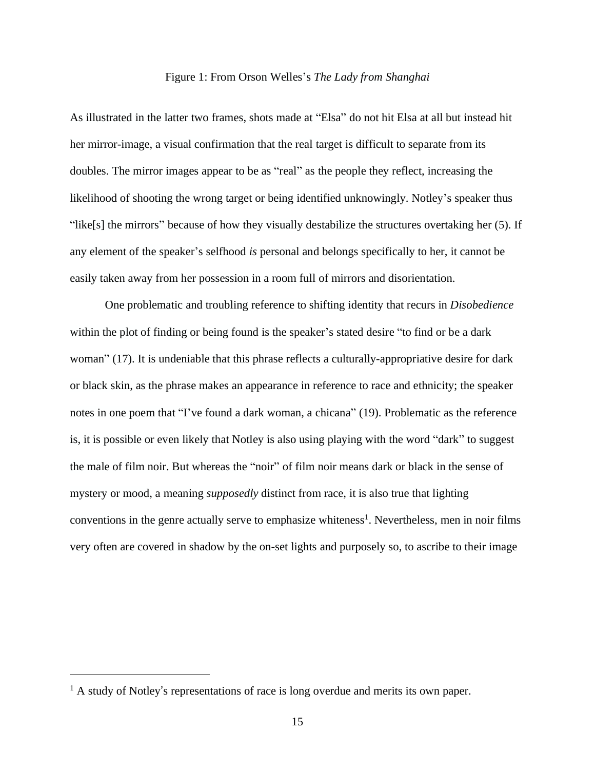## Figure 1: From Orson Welles's *The Lady from Shanghai*

As illustrated in the latter two frames, shots made at "Elsa" do not hit Elsa at all but instead hit her mirror-image, a visual confirmation that the real target is difficult to separate from its doubles. The mirror images appear to be as "real" as the people they reflect, increasing the likelihood of shooting the wrong target or being identified unknowingly. Notley's speaker thus "like[s] the mirrors" because of how they visually destabilize the structures overtaking her (5). If any element of the speaker's selfhood *is* personal and belongs specifically to her, it cannot be easily taken away from her possession in a room full of mirrors and disorientation.

One problematic and troubling reference to shifting identity that recurs in *Disobedience* within the plot of finding or being found is the speaker's stated desire "to find or be a dark" woman" (17). It is undeniable that this phrase reflects a culturally-appropriative desire for dark or black skin, as the phrase makes an appearance in reference to race and ethnicity; the speaker notes in one poem that "I've found a dark woman, a chicana" (19). Problematic as the reference is, it is possible or even likely that Notley is also using playing with the word "dark" to suggest the male of film noir. But whereas the "noir" of film noir means dark or black in the sense of mystery or mood, a meaning *supposedly* distinct from race, it is also true that lighting conventions in the genre actually serve to emphasize whiteness<sup>1</sup>. Nevertheless, men in noir films very often are covered in shadow by the on-set lights and purposely so, to ascribe to their image

<sup>&</sup>lt;sup>1</sup> A study of Notley's representations of race is long overdue and merits its own paper.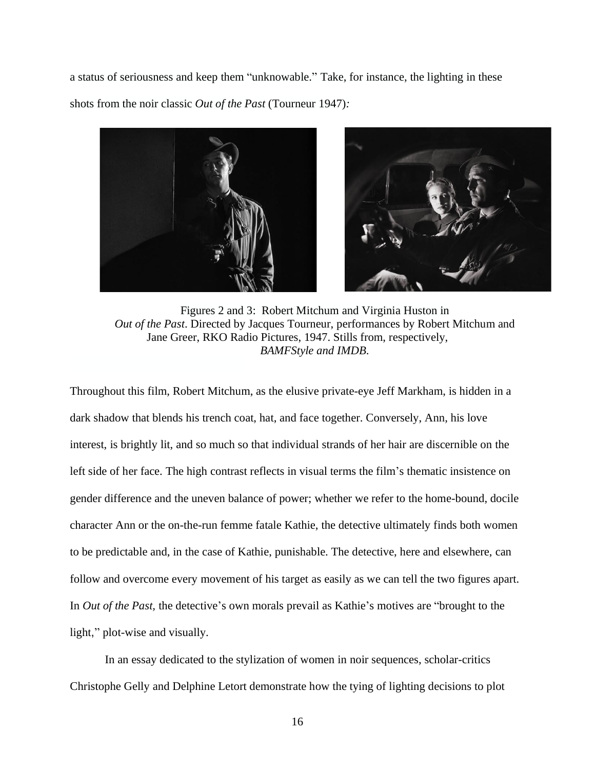a status of seriousness and keep them "unknowable." Take, for instance, the lighting in these shots from the noir classic *Out of the Past* (Tourneur 1947)*:*



Figures 2 and 3: Robert Mitchum and Virginia Huston in *Out of the Past*. Directed by Jacques Tourneur, performances by Robert Mitchum and Jane Greer, RKO Radio Pictures, 1947. Stills from, respectively, *BAMFStyle and IMDB*.

Throughout this film, Robert Mitchum, as the elusive private-eye Jeff Markham, is hidden in a dark shadow that blends his trench coat, hat, and face together. Conversely, Ann, his love interest, is brightly lit, and so much so that individual strands of her hair are discernible on the left side of her face. The high contrast reflects in visual terms the film's thematic insistence on gender difference and the uneven balance of power; whether we refer to the home-bound, docile character Ann or the on-the-run femme fatale Kathie, the detective ultimately finds both women to be predictable and, in the case of Kathie, punishable. The detective, here and elsewhere, can follow and overcome every movement of his target as easily as we can tell the two figures apart. In *Out of the Past,* the detective's own morals prevail as Kathie's motives are "brought to the light," plot-wise and visually.

In an essay dedicated to the stylization of women in noir sequences, scholar-critics Christophe Gelly and Delphine Letort demonstrate how the tying of lighting decisions to plot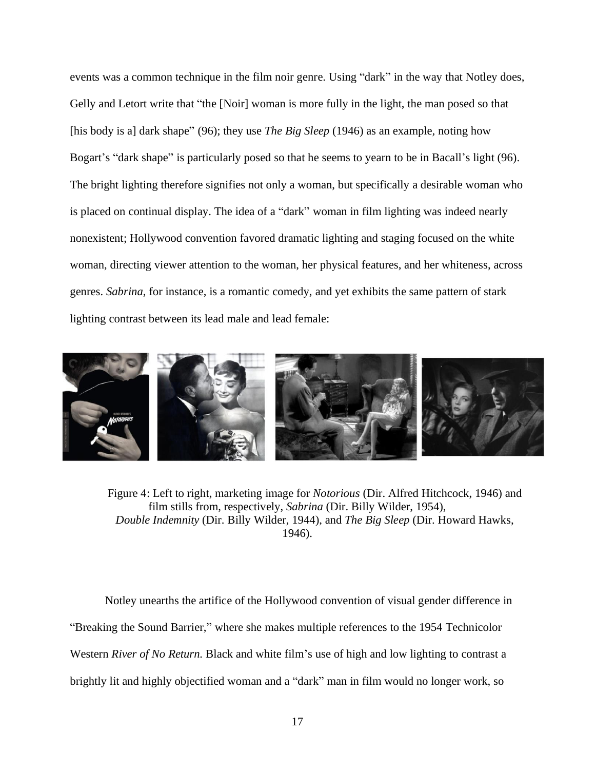events was a common technique in the film noir genre. Using "dark" in the way that Notley does, Gelly and Letort write that "the [Noir] woman is more fully in the light, the man posed so that [his body is a] dark shape" (96); they use *The Big Sleep* (1946) as an example*,* noting how Bogart's "dark shape" is particularly posed so that he seems to yearn to be in Bacall's light (96). The bright lighting therefore signifies not only a woman, but specifically a desirable woman who is placed on continual display. The idea of a "dark" woman in film lighting was indeed nearly nonexistent; Hollywood convention favored dramatic lighting and staging focused on the white woman, directing viewer attention to the woman, her physical features, and her whiteness, across genres. *Sabrina*, for instance, is a romantic comedy, and yet exhibits the same pattern of stark lighting contrast between its lead male and lead female:



Figure 4: Left to right, marketing image for *Notorious* (Dir. Alfred Hitchcock, 1946) and film stills from, respectively, *Sabrina* (Dir. Billy Wilder, 1954), *Double Indemnity* (Dir. Billy Wilder, 1944), and *The Big Sleep* (Dir. Howard Hawks, 1946).

Notley unearths the artifice of the Hollywood convention of visual gender difference in "Breaking the Sound Barrier," where she makes multiple references to the 1954 Technicolor Western *River of No Return.* Black and white film's use of high and low lighting to contrast a brightly lit and highly objectified woman and a "dark" man in film would no longer work, so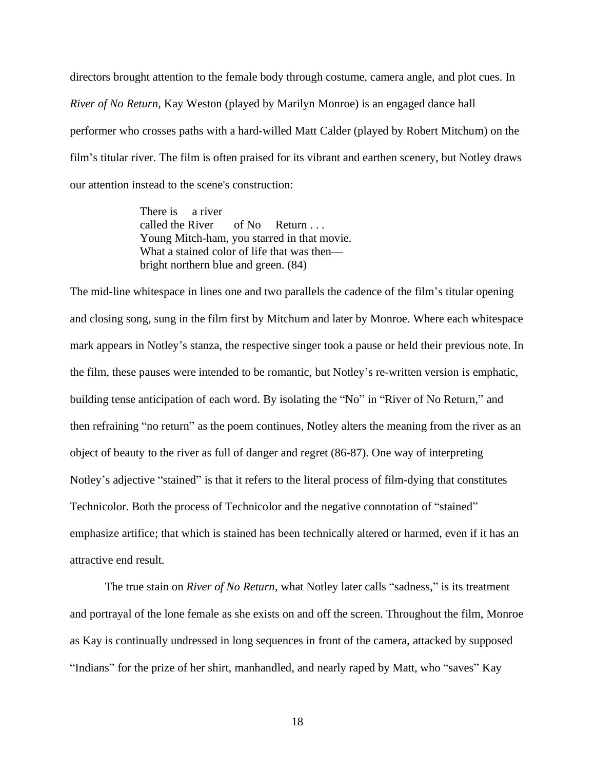directors brought attention to the female body through costume, camera angle, and plot cues. In *River of No Return*, Kay Weston (played by Marilyn Monroe) is an engaged dance hall performer who crosses paths with a hard-willed Matt Calder (played by Robert Mitchum) on the film's titular river. The film is often praised for its vibrant and earthen scenery, but Notley draws our attention instead to the scene's construction:

> There is a river called the River of No Return . . . Young Mitch-ham, you starred in that movie. What a stained color of life that was then– bright northern blue and green. (84)

The mid-line whitespace in lines one and two parallels the cadence of the film's titular opening and closing song, sung in the film first by Mitchum and later by Monroe. Where each whitespace mark appears in Notley's stanza, the respective singer took a pause or held their previous note. In the film, these pauses were intended to be romantic, but Notley's re-written version is emphatic, building tense anticipation of each word. By isolating the "No" in "River of No Return," and then refraining "no return" as the poem continues, Notley alters the meaning from the river as an object of beauty to the river as full of danger and regret (86-87). One way of interpreting Notley's adjective "stained" is that it refers to the literal process of film-dying that constitutes Technicolor. Both the process of Technicolor and the negative connotation of "stained" emphasize artifice; that which is stained has been technically altered or harmed, even if it has an attractive end result.

The true stain on *River of No Return*, what Notley later calls "sadness," is its treatment and portrayal of the lone female as she exists on and off the screen. Throughout the film, Monroe as Kay is continually undressed in long sequences in front of the camera, attacked by supposed "Indians" for the prize of her shirt, manhandled, and nearly raped by Matt, who "saves" Kay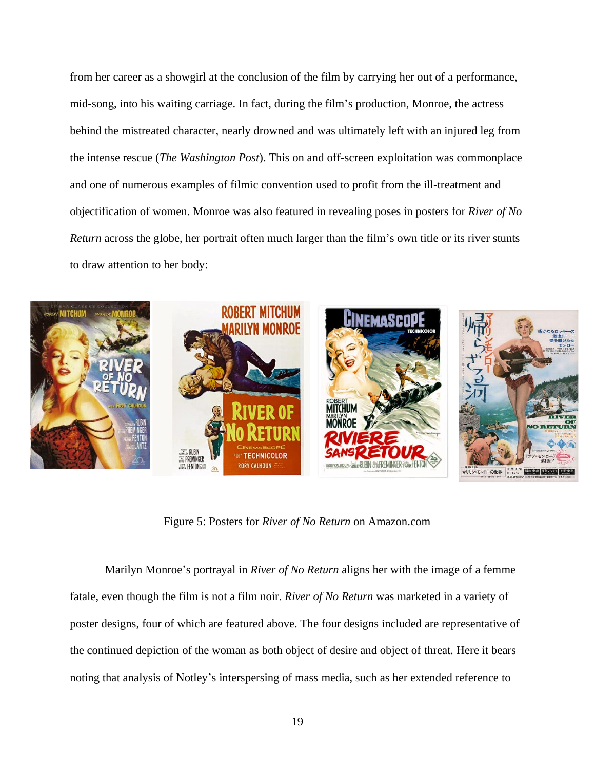from her career as a showgirl at the conclusion of the film by carrying her out of a performance, mid-song, into his waiting carriage. In fact, during the film's production, Monroe, the actress behind the mistreated character, nearly drowned and was ultimately left with an injured leg from the intense rescue (*The Washington Post*). This on and off-screen exploitation was commonplace and one of numerous examples of filmic convention used to profit from the ill-treatment and objectification of women. Monroe was also featured in revealing poses in posters for *River of No Return* across the globe, her portrait often much larger than the film's own title or its river stunts to draw attention to her body:



Figure 5: Posters for *River of No Return* on Amazon.com

Marilyn Monroe's portrayal in *River of No Return* aligns her with the image of a femme fatale, even though the film is not a film noir. *River of No Return* was marketed in a variety of poster designs, four of which are featured above. The four designs included are representative of the continued depiction of the woman as both object of desire and object of threat. Here it bears noting that analysis of Notley's interspersing of mass media, such as her extended reference to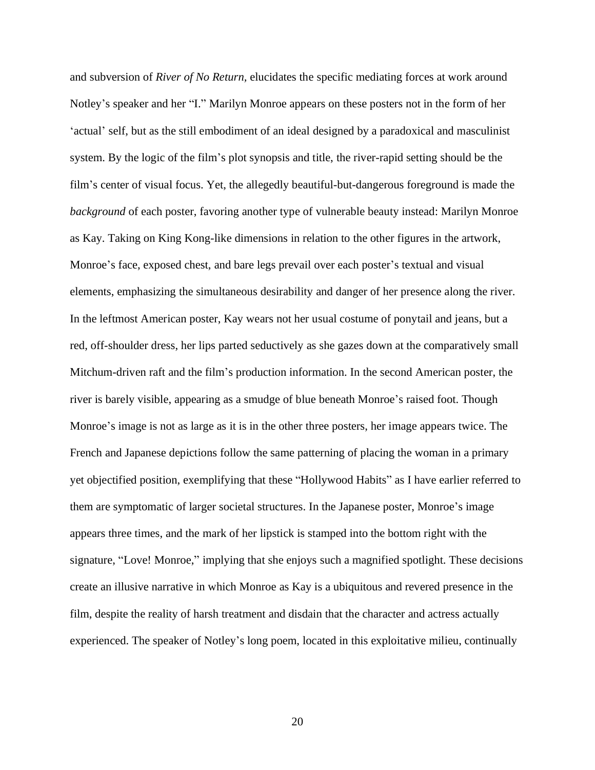and subversion of *River of No Return,* elucidates the specific mediating forces at work around Notley's speaker and her "I." Marilyn Monroe appears on these posters not in the form of her 'actual' self, but as the still embodiment of an ideal designed by a paradoxical and masculinist system. By the logic of the film's plot synopsis and title, the river-rapid setting should be the film's center of visual focus. Yet, the allegedly beautiful-but-dangerous foreground is made the *background* of each poster, favoring another type of vulnerable beauty instead: Marilyn Monroe as Kay. Taking on King Kong-like dimensions in relation to the other figures in the artwork, Monroe's face, exposed chest, and bare legs prevail over each poster's textual and visual elements, emphasizing the simultaneous desirability and danger of her presence along the river. In the leftmost American poster, Kay wears not her usual costume of ponytail and jeans, but a red, off-shoulder dress, her lips parted seductively as she gazes down at the comparatively small Mitchum-driven raft and the film's production information. In the second American poster, the river is barely visible, appearing as a smudge of blue beneath Monroe's raised foot. Though Monroe's image is not as large as it is in the other three posters, her image appears twice. The French and Japanese depictions follow the same patterning of placing the woman in a primary yet objectified position, exemplifying that these "Hollywood Habits" as I have earlier referred to them are symptomatic of larger societal structures. In the Japanese poster, Monroe's image appears three times, and the mark of her lipstick is stamped into the bottom right with the signature, "Love! Monroe," implying that she enjoys such a magnified spotlight. These decisions create an illusive narrative in which Monroe as Kay is a ubiquitous and revered presence in the film, despite the reality of harsh treatment and disdain that the character and actress actually experienced. The speaker of Notley's long poem, located in this exploitative milieu, continually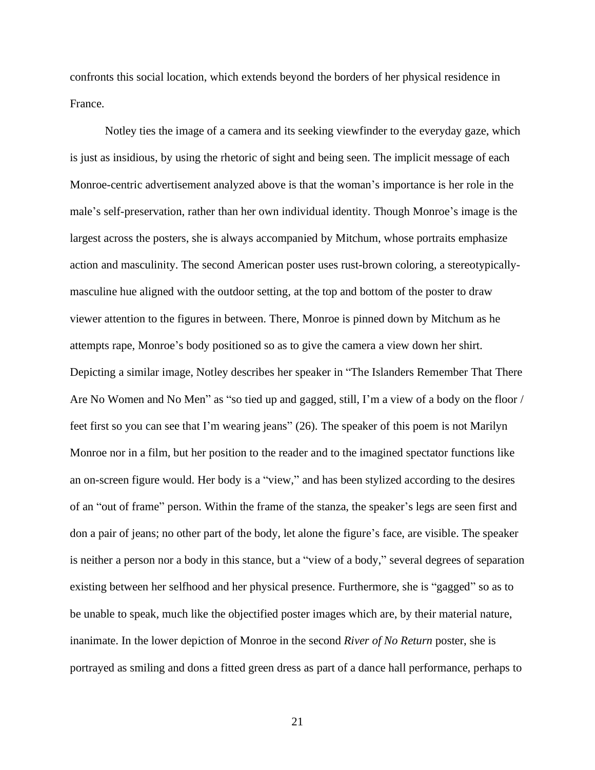confronts this social location, which extends beyond the borders of her physical residence in France.

Notley ties the image of a camera and its seeking viewfinder to the everyday gaze, which is just as insidious, by using the rhetoric of sight and being seen. The implicit message of each Monroe-centric advertisement analyzed above is that the woman's importance is her role in the male's self-preservation, rather than her own individual identity. Though Monroe's image is the largest across the posters, she is always accompanied by Mitchum, whose portraits emphasize action and masculinity. The second American poster uses rust-brown coloring, a stereotypicallymasculine hue aligned with the outdoor setting, at the top and bottom of the poster to draw viewer attention to the figures in between. There, Monroe is pinned down by Mitchum as he attempts rape, Monroe's body positioned so as to give the camera a view down her shirt. Depicting a similar image, Notley describes her speaker in "The Islanders Remember That There Are No Women and No Men" as "so tied up and gagged, still, I'm a view of a body on the floor / feet first so you can see that I'm wearing jeans" (26). The speaker of this poem is not Marilyn Monroe nor in a film, but her position to the reader and to the imagined spectator functions like an on-screen figure would. Her body is a "view," and has been stylized according to the desires of an "out of frame" person. Within the frame of the stanza, the speaker's legs are seen first and don a pair of jeans; no other part of the body, let alone the figure's face, are visible. The speaker is neither a person nor a body in this stance, but a "view of a body," several degrees of separation existing between her selfhood and her physical presence. Furthermore, she is "gagged" so as to be unable to speak, much like the objectified poster images which are, by their material nature, inanimate. In the lower depiction of Monroe in the second *River of No Return* poster, she is portrayed as smiling and dons a fitted green dress as part of a dance hall performance, perhaps to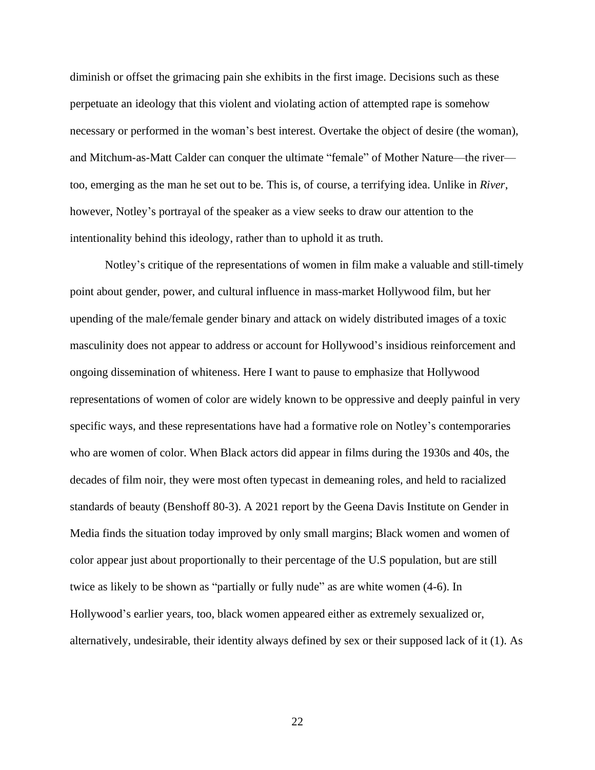diminish or offset the grimacing pain she exhibits in the first image. Decisions such as these perpetuate an ideology that this violent and violating action of attempted rape is somehow necessary or performed in the woman's best interest. Overtake the object of desire (the woman), and Mitchum-as-Matt Calder can conquer the ultimate "female" of Mother Nature—the river too, emerging as the man he set out to be. This is, of course, a terrifying idea. Unlike in *River*, however, Notley's portrayal of the speaker as a view seeks to draw our attention to the intentionality behind this ideology, rather than to uphold it as truth.

Notley's critique of the representations of women in film make a valuable and still-timely point about gender, power, and cultural influence in mass-market Hollywood film, but her upending of the male/female gender binary and attack on widely distributed images of a toxic masculinity does not appear to address or account for Hollywood's insidious reinforcement and ongoing dissemination of whiteness. Here I want to pause to emphasize that Hollywood representations of women of color are widely known to be oppressive and deeply painful in very specific ways, and these representations have had a formative role on Notley's contemporaries who are women of color. When Black actors did appear in films during the 1930s and 40s, the decades of film noir, they were most often typecast in demeaning roles, and held to racialized standards of beauty (Benshoff 80-3). A 2021 report by the Geena Davis Institute on Gender in Media finds the situation today improved by only small margins; Black women and women of color appear just about proportionally to their percentage of the U.S population, but are still twice as likely to be shown as "partially or fully nude" as are white women (4-6). In Hollywood's earlier years, too, black women appeared either as extremely sexualized or, alternatively, undesirable, their identity always defined by sex or their supposed lack of it (1). As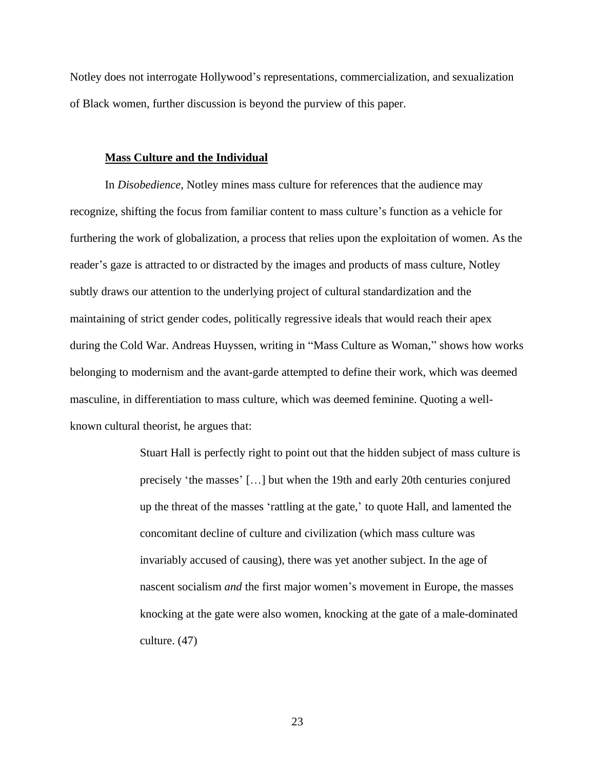Notley does not interrogate Hollywood's representations, commercialization, and sexualization of Black women, further discussion is beyond the purview of this paper.

#### **Mass Culture and the Individual**

In *Disobedience*, Notley mines mass culture for references that the audience may recognize, shifting the focus from familiar content to mass culture's function as a vehicle for furthering the work of globalization, a process that relies upon the exploitation of women. As the reader's gaze is attracted to or distracted by the images and products of mass culture, Notley subtly draws our attention to the underlying project of cultural standardization and the maintaining of strict gender codes, politically regressive ideals that would reach their apex during the Cold War. Andreas Huyssen, writing in "Mass Culture as Woman," shows how works belonging to modernism and the avant-garde attempted to define their work, which was deemed masculine, in differentiation to mass culture, which was deemed feminine. Quoting a wellknown cultural theorist, he argues that:

> Stuart Hall is perfectly right to point out that the hidden subject of mass culture is precisely 'the masses' […] but when the 19th and early 20th centuries conjured up the threat of the masses 'rattling at the gate,' to quote Hall, and lamented the concomitant decline of culture and civilization (which mass culture was invariably accused of causing), there was yet another subject. In the age of nascent socialism *and* the first major women's movement in Europe, the masses knocking at the gate were also women, knocking at the gate of a male-dominated culture. (47)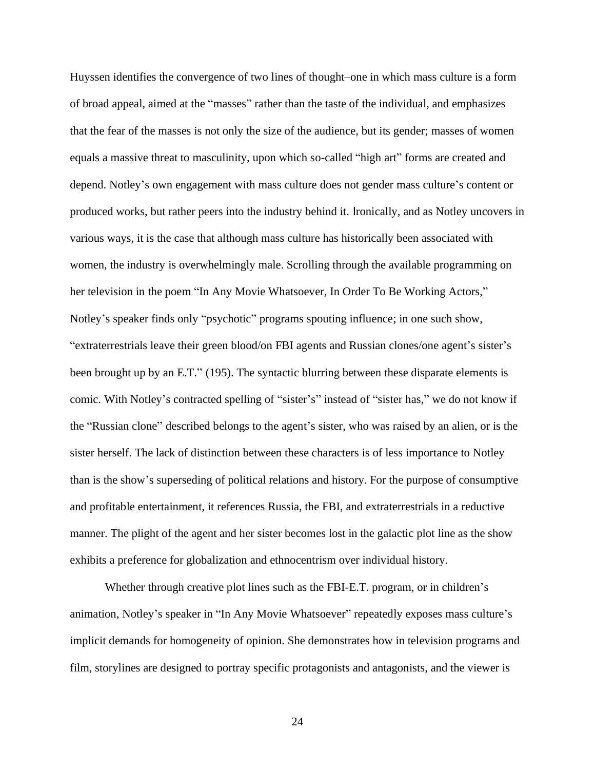Huyssen identifies the convergence of two lines of thought–one in which mass culture is a form of broad appeal, aimed at the "masses" rather than the taste of the individual, and emphasizes that the fear of the masses is not only the size of the audience, but its gender; masses of women equals a massive threat to masculinity, upon which so-called "high art" forms are created and depend. Notley's own engagement with mass culture does not gender mass culture's content or produced works, but rather peers into the industry behind it. Ironically, and as Notley uncovers in various ways, it is the case that although mass culture has historically been associated with women, the industry is overwhelmingly male. Scrolling through the available programming on her television in the poem "In Any Movie Whatsoever, In Order To Be Working Actors," Notley's speaker finds only "psychotic" programs spouting influence; in one such show, "extraterrestrials leave their green blood/on FBI agents and Russian clones/one agent's sister's been brought up by an E.T." (195). The syntactic blurring between these disparate elements is comic. With Notley's contracted spelling of "sister's" instead of "sister has," we do not know if the "Russian clone" described belongs to the agent's sister, who was raised by an alien, or is the sister herself. The lack of distinction between these characters is of less importance to Notley than is the show's superseding of political relations and history. For the purpose of consumptive and profitable entertainment, it references Russia, the FBI, and extraterrestrials in a reductive manner. The plight of the agent and her sister becomes lost in the galactic plot line as the show exhibits a preference for globalization and ethnocentrism over individual history.

Whether through creative plot lines such as the FBI-E.T. program, or in children's animation, Notley's speaker in "In Any Movie Whatsoever" repeatedly exposes mass culture's implicit demands for homogeneity of opinion. She demonstrates how in television programs and film, storylines are designed to portray specific protagonists and antagonists, and the viewer is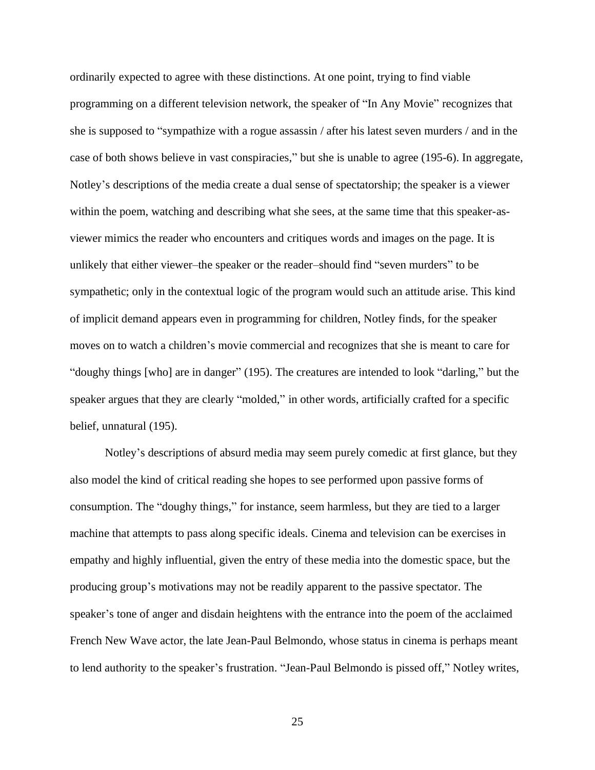ordinarily expected to agree with these distinctions. At one point, trying to find viable programming on a different television network, the speaker of "In Any Movie" recognizes that she is supposed to "sympathize with a rogue assassin / after his latest seven murders / and in the case of both shows believe in vast conspiracies," but she is unable to agree (195-6). In aggregate, Notley's descriptions of the media create a dual sense of spectatorship; the speaker is a viewer within the poem, watching and describing what she sees, at the same time that this speaker-asviewer mimics the reader who encounters and critiques words and images on the page. It is unlikely that either viewer–the speaker or the reader–should find "seven murders" to be sympathetic; only in the contextual logic of the program would such an attitude arise. This kind of implicit demand appears even in programming for children, Notley finds, for the speaker moves on to watch a children's movie commercial and recognizes that she is meant to care for "doughy things [who] are in danger" (195). The creatures are intended to look "darling," but the speaker argues that they are clearly "molded," in other words, artificially crafted for a specific belief, unnatural (195).

Notley's descriptions of absurd media may seem purely comedic at first glance, but they also model the kind of critical reading she hopes to see performed upon passive forms of consumption. The "doughy things," for instance, seem harmless, but they are tied to a larger machine that attempts to pass along specific ideals. Cinema and television can be exercises in empathy and highly influential, given the entry of these media into the domestic space, but the producing group's motivations may not be readily apparent to the passive spectator. The speaker's tone of anger and disdain heightens with the entrance into the poem of the acclaimed French New Wave actor, the late Jean-Paul Belmondo, whose status in cinema is perhaps meant to lend authority to the speaker's frustration. "Jean-Paul Belmondo is pissed off," Notley writes,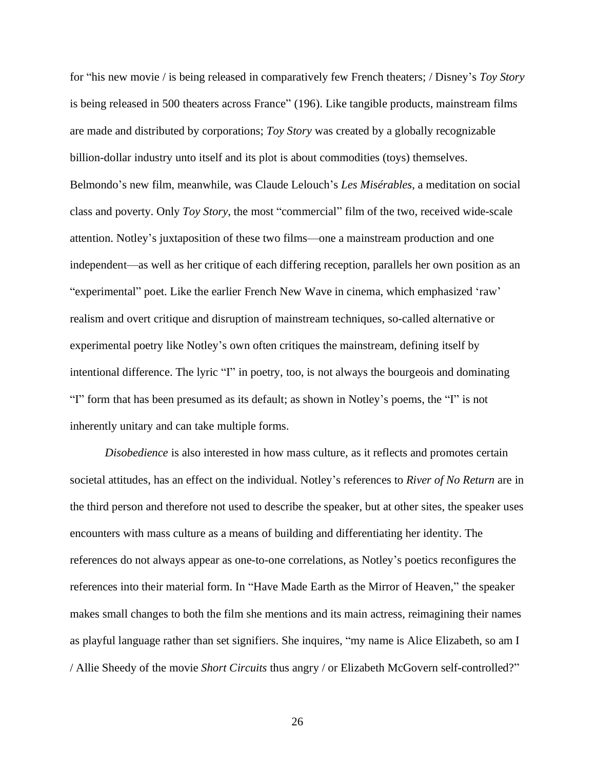for "his new movie / is being released in comparatively few French theaters; / Disney's *Toy Story* is being released in 500 theaters across France" (196). Like tangible products, mainstream films are made and distributed by corporations; *Toy Story* was created by a globally recognizable billion-dollar industry unto itself and its plot is about commodities (toys) themselves. Belmondo's new film, meanwhile, was Claude Lelouch's *Les Misérables*, a meditation on social class and poverty. Only *Toy Story*, the most "commercial" film of the two, received wide-scale attention. Notley's juxtaposition of these two films––one a mainstream production and one independent––as well as her critique of each differing reception, parallels her own position as an "experimental" poet. Like the earlier French New Wave in cinema, which emphasized 'raw' realism and overt critique and disruption of mainstream techniques, so-called alternative or experimental poetry like Notley's own often critiques the mainstream, defining itself by intentional difference. The lyric "I" in poetry, too, is not always the bourgeois and dominating "I" form that has been presumed as its default; as shown in Notley's poems, the "I" is not inherently unitary and can take multiple forms.

*Disobedience* is also interested in how mass culture, as it reflects and promotes certain societal attitudes, has an effect on the individual. Notley's references to *River of No Return* are in the third person and therefore not used to describe the speaker, but at other sites, the speaker uses encounters with mass culture as a means of building and differentiating her identity. The references do not always appear as one-to-one correlations, as Notley's poetics reconfigures the references into their material form. In "Have Made Earth as the Mirror of Heaven," the speaker makes small changes to both the film she mentions and its main actress, reimagining their names as playful language rather than set signifiers. She inquires, "my name is Alice Elizabeth, so am I / Allie Sheedy of the movie *Short Circuits* thus angry / or Elizabeth McGovern self-controlled?"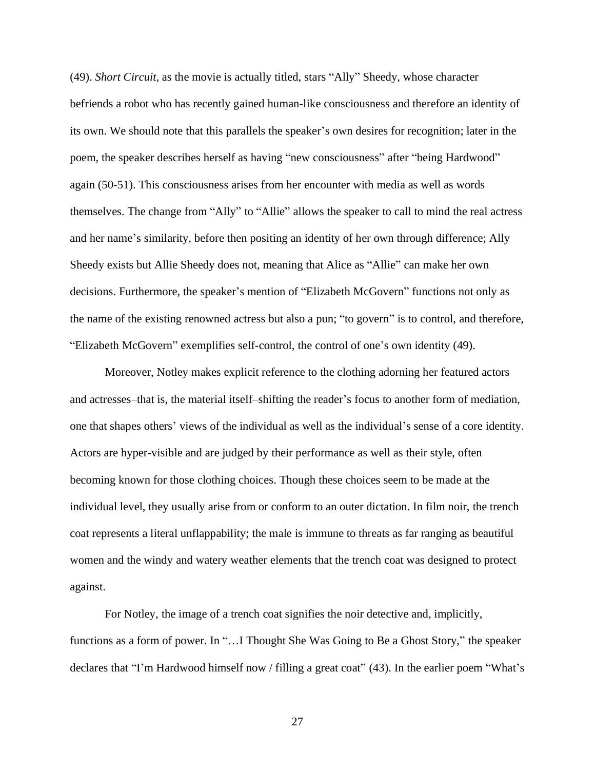(49). *Short Circuit,* as the movie is actually titled, stars "Ally" Sheedy, whose character befriends a robot who has recently gained human-like consciousness and therefore an identity of its own. We should note that this parallels the speaker's own desires for recognition; later in the poem, the speaker describes herself as having "new consciousness" after "being Hardwood" again (50-51). This consciousness arises from her encounter with media as well as words themselves. The change from "Ally" to "Allie" allows the speaker to call to mind the real actress and her name's similarity, before then positing an identity of her own through difference; Ally Sheedy exists but Allie Sheedy does not, meaning that Alice as "Allie" can make her own decisions. Furthermore, the speaker's mention of "Elizabeth McGovern" functions not only as the name of the existing renowned actress but also a pun; "to govern" is to control, and therefore, "Elizabeth McGovern" exemplifies self-control, the control of one's own identity (49).

Moreover, Notley makes explicit reference to the clothing adorning her featured actors and actresses–that is, the material itself–shifting the reader's focus to another form of mediation, one that shapes others' views of the individual as well as the individual's sense of a core identity. Actors are hyper-visible and are judged by their performance as well as their style, often becoming known for those clothing choices. Though these choices seem to be made at the individual level, they usually arise from or conform to an outer dictation. In film noir, the trench coat represents a literal unflappability; the male is immune to threats as far ranging as beautiful women and the windy and watery weather elements that the trench coat was designed to protect against.

For Notley, the image of a trench coat signifies the noir detective and, implicitly, functions as a form of power. In "...I Thought She Was Going to Be a Ghost Story," the speaker declares that "I'm Hardwood himself now / filling a great coat" (43). In the earlier poem "What's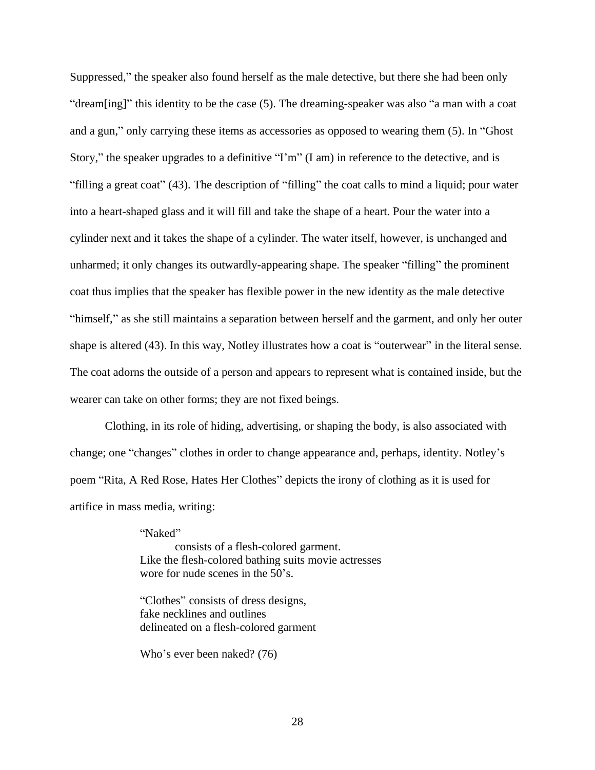Suppressed," the speaker also found herself as the male detective, but there she had been only "dream[ing]" this identity to be the case (5). The dreaming-speaker was also "a man with a coat and a gun," only carrying these items as accessories as opposed to wearing them (5). In "Ghost Story," the speaker upgrades to a definitive "I'm" (I am) in reference to the detective, and is "filling a great coat" (43). The description of "filling" the coat calls to mind a liquid; pour water into a heart-shaped glass and it will fill and take the shape of a heart. Pour the water into a cylinder next and it takes the shape of a cylinder. The water itself, however, is unchanged and unharmed; it only changes its outwardly-appearing shape. The speaker "filling" the prominent coat thus implies that the speaker has flexible power in the new identity as the male detective "himself," as she still maintains a separation between herself and the garment, and only her outer shape is altered (43). In this way, Notley illustrates how a coat is "outerwear" in the literal sense. The coat adorns the outside of a person and appears to represent what is contained inside, but the wearer can take on other forms; they are not fixed beings.

Clothing, in its role of hiding, advertising, or shaping the body, is also associated with change; one "changes" clothes in order to change appearance and, perhaps, identity. Notley's poem "Rita, A Red Rose, Hates Her Clothes" depicts the irony of clothing as it is used for artifice in mass media, writing:

> "Naked" consists of a flesh-colored garment. Like the flesh-colored bathing suits movie actresses wore for nude scenes in the 50's.

"Clothes" consists of dress designs, fake necklines and outlines delineated on a flesh-colored garment

Who's ever been naked? (76)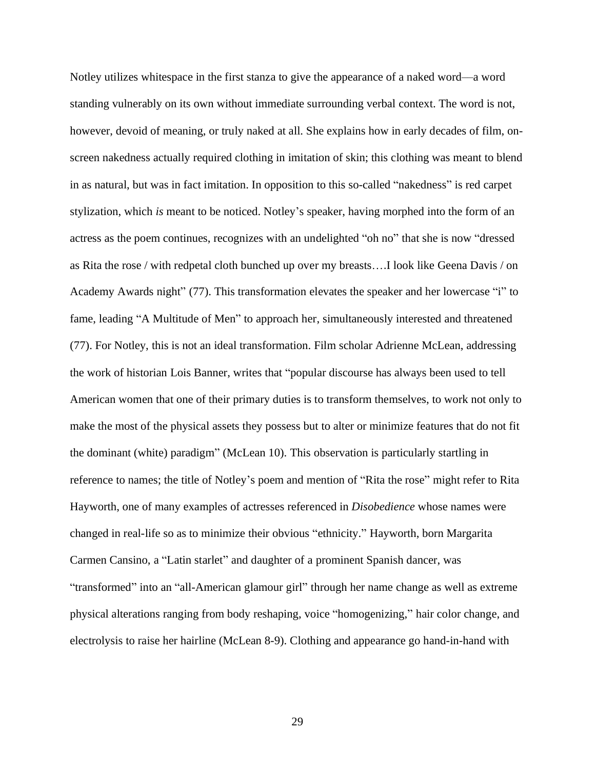Notley utilizes whitespace in the first stanza to give the appearance of a naked word––a word standing vulnerably on its own without immediate surrounding verbal context. The word is not, however, devoid of meaning, or truly naked at all. She explains how in early decades of film, onscreen nakedness actually required clothing in imitation of skin; this clothing was meant to blend in as natural, but was in fact imitation. In opposition to this so-called "nakedness" is red carpet stylization, which *is* meant to be noticed. Notley's speaker, having morphed into the form of an actress as the poem continues, recognizes with an undelighted "oh no" that she is now "dressed as Rita the rose / with redpetal cloth bunched up over my breasts….I look like Geena Davis / on Academy Awards night" (77). This transformation elevates the speaker and her lowercase "i" to fame, leading "A Multitude of Men" to approach her, simultaneously interested and threatened (77). For Notley, this is not an ideal transformation. Film scholar Adrienne McLean, addressing the work of historian Lois Banner, writes that "popular discourse has always been used to tell American women that one of their primary duties is to transform themselves, to work not only to make the most of the physical assets they possess but to alter or minimize features that do not fit the dominant (white) paradigm" (McLean 10). This observation is particularly startling in reference to names; the title of Notley's poem and mention of "Rita the rose" might refer to Rita Hayworth, one of many examples of actresses referenced in *Disobedience* whose names were changed in real-life so as to minimize their obvious "ethnicity." Hayworth, born Margarita Carmen Cansino, a "Latin starlet" and daughter of a prominent Spanish dancer, was "transformed" into an "all-American glamour girl" through her name change as well as extreme physical alterations ranging from body reshaping, voice "homogenizing," hair color change, and electrolysis to raise her hairline (McLean 8-9). Clothing and appearance go hand-in-hand with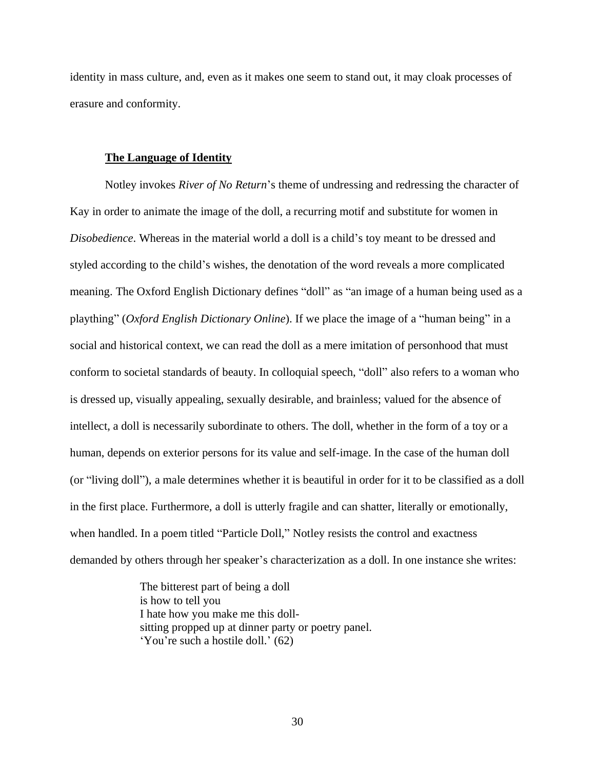identity in mass culture, and, even as it makes one seem to stand out, it may cloak processes of erasure and conformity.

#### **The Language of Identity**

Notley invokes *River of No Return*'s theme of undressing and redressing the character of Kay in order to animate the image of the doll, a recurring motif and substitute for women in *Disobedience*. Whereas in the material world a doll is a child's toy meant to be dressed and styled according to the child's wishes, the denotation of the word reveals a more complicated meaning. The Oxford English Dictionary defines "doll" as "an image of a human being used as a plaything" (*Oxford English Dictionary Online*). If we place the image of a "human being" in a social and historical context, we can read the doll as a mere imitation of personhood that must conform to societal standards of beauty. In colloquial speech, "doll" also refers to a woman who is dressed up, visually appealing, sexually desirable, and brainless; valued for the absence of intellect, a doll is necessarily subordinate to others. The doll, whether in the form of a toy or a human, depends on exterior persons for its value and self-image. In the case of the human doll (or "living doll"), a male determines whether it is beautiful in order for it to be classified as a doll in the first place. Furthermore, a doll is utterly fragile and can shatter, literally or emotionally, when handled. In a poem titled "Particle Doll," Notley resists the control and exactness demanded by others through her speaker's characterization as a doll. In one instance she writes:

> The bitterest part of being a doll is how to tell you I hate how you make me this dollsitting propped up at dinner party or poetry panel. 'You're such a hostile doll.' (62)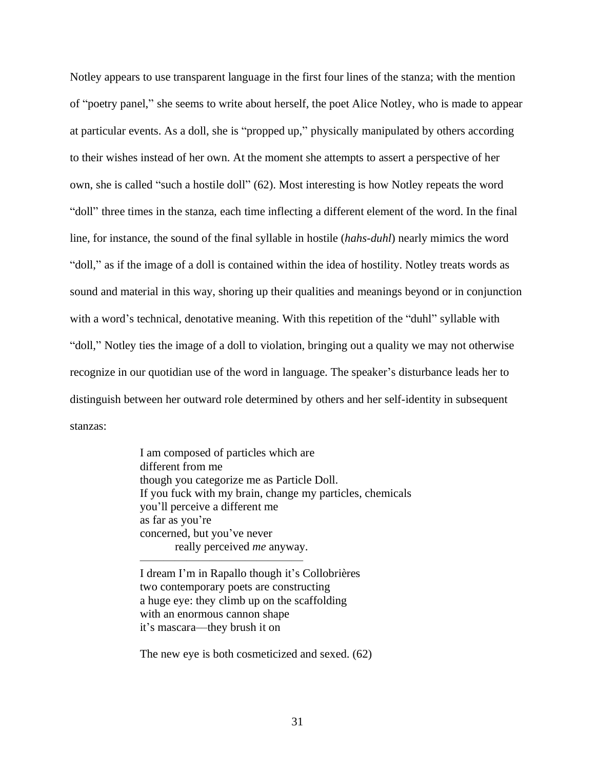Notley appears to use transparent language in the first four lines of the stanza; with the mention of "poetry panel," she seems to write about herself, the poet Alice Notley, who is made to appear at particular events. As a doll, she is "propped up," physically manipulated by others according to their wishes instead of her own. At the moment she attempts to assert a perspective of her own, she is called "such a hostile doll" (62). Most interesting is how Notley repeats the word "doll" three times in the stanza, each time inflecting a different element of the word. In the final line, for instance, the sound of the final syllable in hostile (*hahs-duhl*) nearly mimics the word "doll," as if the image of a doll is contained within the idea of hostility. Notley treats words as sound and material in this way, shoring up their qualities and meanings beyond or in conjunction with a word's technical, denotative meaning. With this repetition of the "duhl" syllable with "doll," Notley ties the image of a doll to violation, bringing out a quality we may not otherwise recognize in our quotidian use of the word in language. The speaker's disturbance leads her to distinguish between her outward role determined by others and her self-identity in subsequent stanzas:

> I am composed of particles which are different from me though you categorize me as Particle Doll. If you fuck with my brain, change my particles, chemicals you'll perceive a different me as far as you're concerned, but you've never really perceived *me* anyway.

I dream I'm in Rapallo though it's Collobrières two contemporary poets are constructing a huge eye: they climb up on the scaffolding with an enormous cannon shape it's mascara––they brush it on

——————————————

The new eye is both cosmeticized and sexed. (62)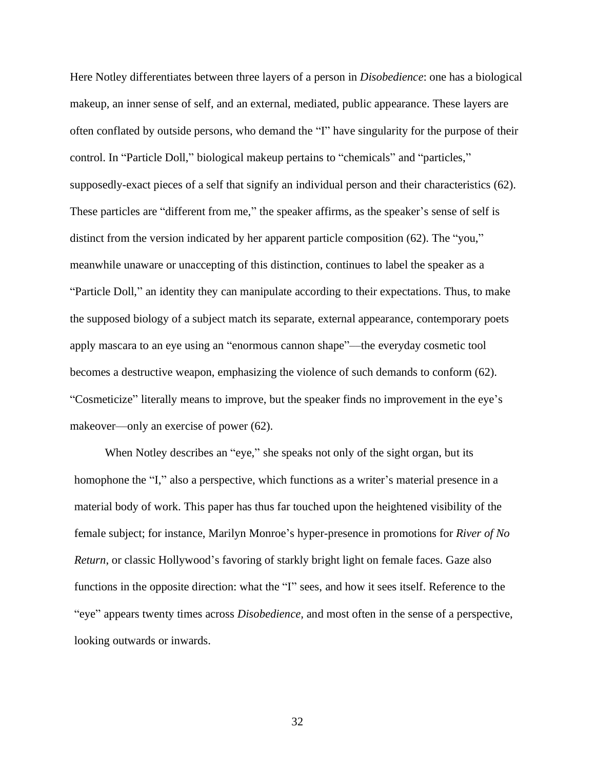Here Notley differentiates between three layers of a person in *Disobedience*: one has a biological makeup, an inner sense of self, and an external, mediated, public appearance. These layers are often conflated by outside persons, who demand the "I" have singularity for the purpose of their control. In "Particle Doll," biological makeup pertains to "chemicals" and "particles," supposedly-exact pieces of a self that signify an individual person and their characteristics (62). These particles are "different from me," the speaker affirms, as the speaker's sense of self is distinct from the version indicated by her apparent particle composition (62). The "you," meanwhile unaware or unaccepting of this distinction, continues to label the speaker as a "Particle Doll," an identity they can manipulate according to their expectations. Thus, to make the supposed biology of a subject match its separate, external appearance, contemporary poets apply mascara to an eye using an "enormous cannon shape"––the everyday cosmetic tool becomes a destructive weapon, emphasizing the violence of such demands to conform (62). "Cosmeticize" literally means to improve, but the speaker finds no improvement in the eye's makeover—only an exercise of power (62).

When Notley describes an "eye," she speaks not only of the sight organ, but its homophone the "I," also a perspective, which functions as a writer's material presence in a material body of work. This paper has thus far touched upon the heightened visibility of the female subject; for instance, Marilyn Monroe's hyper-presence in promotions for *River of No Return*, or classic Hollywood's favoring of starkly bright light on female faces. Gaze also functions in the opposite direction: what the "I" sees, and how it sees itself. Reference to the "eye" appears twenty times across *Disobedience,* and most often in the sense of a perspective, looking outwards or inwards.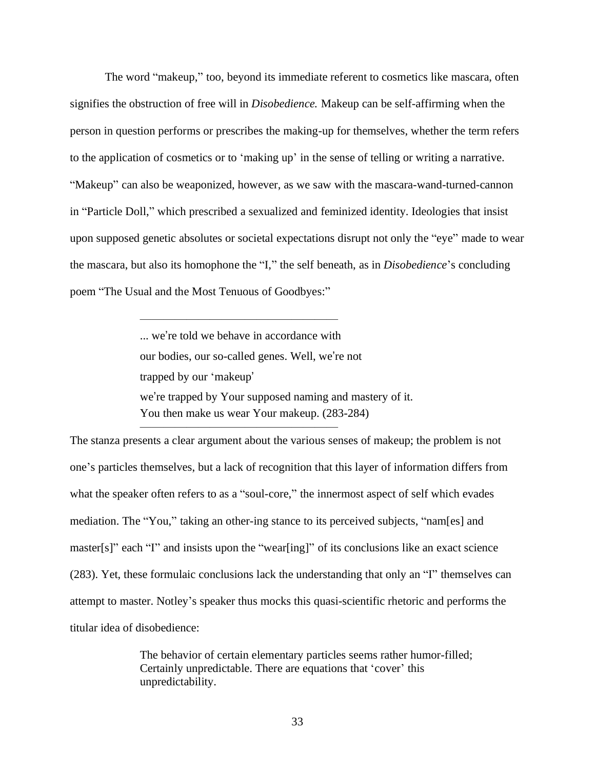The word "makeup," too, beyond its immediate referent to cosmetics like mascara, often signifies the obstruction of free will in *Disobedience.* Makeup can be self-affirming when the person in question performs or prescribes the making-up for themselves, whether the term refers to the application of cosmetics or to 'making up' in the sense of telling or writing a narrative. "Makeup" can also be weaponized, however, as we saw with the mascara-wand-turned-cannon in "Particle Doll," which prescribed a sexualized and feminized identity. Ideologies that insist upon supposed genetic absolutes or societal expectations disrupt not only the "eye" made to wear the mascara, but also its homophone the "I," the self beneath, as in *Disobedience*'s concluding poem "The Usual and the Most Tenuous of Goodbyes:"

> ... we're told we behave in accordance with our bodies, our so-called genes. Well, we're not trapped by our 'makeup' we're trapped by Your supposed naming and mastery of it. You then make us wear Your makeup. (283-284)

 $\frac{1}{\sqrt{2}}$  , and the contract of  $\frac{1}{\sqrt{2}}$  , and  $\frac{1}{\sqrt{2}}$  , and  $\frac{1}{\sqrt{2}}$  , and  $\frac{1}{\sqrt{2}}$  , and  $\frac{1}{\sqrt{2}}$ 

 $\frac{1}{\sqrt{2}}$  , and the contract of  $\frac{1}{\sqrt{2}}$  , and  $\frac{1}{\sqrt{2}}$  , and  $\frac{1}{\sqrt{2}}$  , and  $\frac{1}{\sqrt{2}}$  , and  $\frac{1}{\sqrt{2}}$ 

The stanza presents a clear argument about the various senses of makeup; the problem is not one's particles themselves, but a lack of recognition that this layer of information differs from what the speaker often refers to as a "soul-core," the innermost aspect of self which evades mediation. The "You," taking an other-ing stance to its perceived subjects, "nam[es] and master[s]" each "I" and insists upon the "wear[ing]" of its conclusions like an exact science (283). Yet, these formulaic conclusions lack the understanding that only an "I" themselves can attempt to master. Notley's speaker thus mocks this quasi-scientific rhetoric and performs the titular idea of disobedience:

> The behavior of certain elementary particles seems rather humor-filled; Certainly unpredictable. There are equations that 'cover' this unpredictability.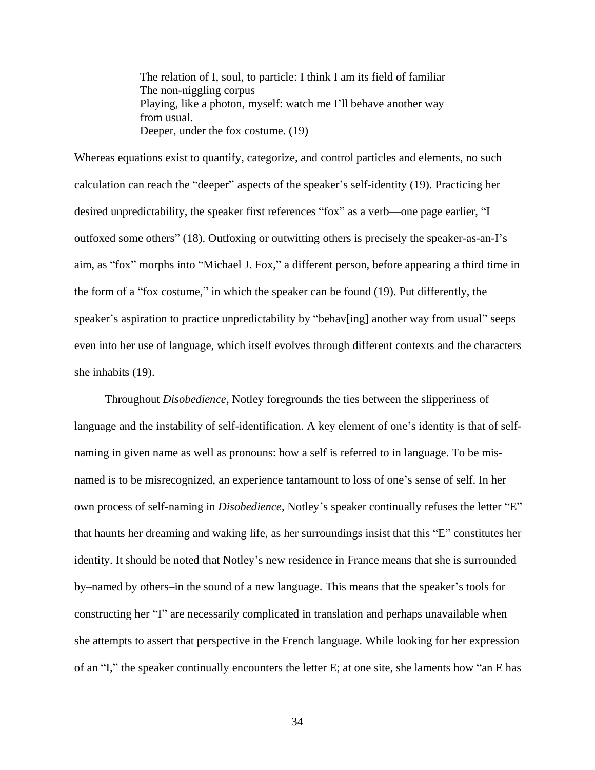The relation of I, soul, to particle: I think I am its field of familiar The non-niggling corpus Playing, like a photon, myself: watch me I'll behave another way from usual. Deeper, under the fox costume. (19)

Whereas equations exist to quantify, categorize, and control particles and elements, no such calculation can reach the "deeper" aspects of the speaker's self-identity (19). Practicing her desired unpredictability, the speaker first references "fox" as a verb––one page earlier, "I outfoxed some others" (18). Outfoxing or outwitting others is precisely the speaker-as-an-I's aim, as "fox" morphs into "Michael J. Fox," a different person, before appearing a third time in the form of a "fox costume," in which the speaker can be found (19). Put differently, the speaker's aspiration to practice unpredictability by "behav[ing] another way from usual" seeps even into her use of language, which itself evolves through different contexts and the characters she inhabits (19).

Throughout *Disobedience*, Notley foregrounds the ties between the slipperiness of language and the instability of self-identification. A key element of one's identity is that of selfnaming in given name as well as pronouns: how a self is referred to in language. To be misnamed is to be misrecognized, an experience tantamount to loss of one's sense of self. In her own process of self-naming in *Disobedience*, Notley's speaker continually refuses the letter "E" that haunts her dreaming and waking life, as her surroundings insist that this "E" constitutes her identity. It should be noted that Notley's new residence in France means that she is surrounded by–named by others–in the sound of a new language. This means that the speaker's tools for constructing her "I" are necessarily complicated in translation and perhaps unavailable when she attempts to assert that perspective in the French language. While looking for her expression of an "I," the speaker continually encounters the letter E; at one site, she laments how "an E has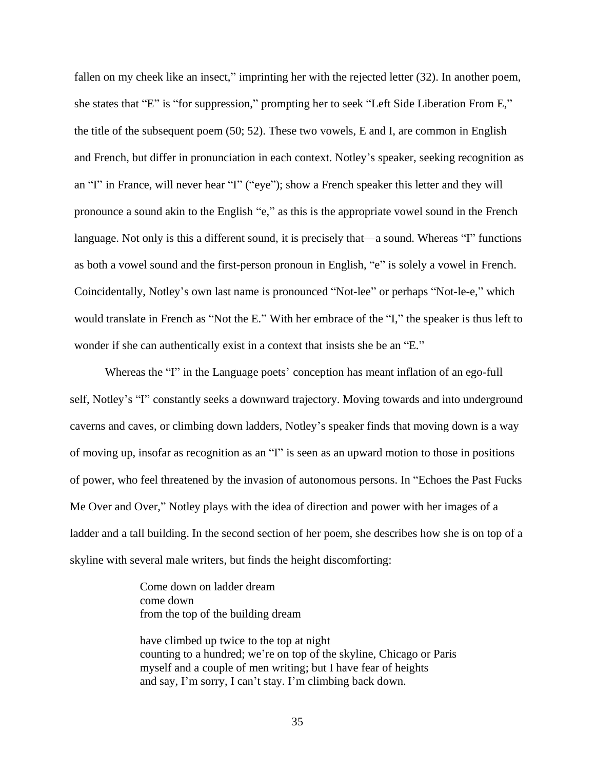fallen on my cheek like an insect," imprinting her with the rejected letter (32). In another poem, she states that "E" is "for suppression," prompting her to seek "Left Side Liberation From E," the title of the subsequent poem (50; 52). These two vowels, E and I, are common in English and French, but differ in pronunciation in each context. Notley's speaker, seeking recognition as an "I" in France, will never hear "I" ("eye"); show a French speaker this letter and they will pronounce a sound akin to the English "e," as this is the appropriate vowel sound in the French language. Not only is this a different sound, it is precisely that––a sound. Whereas "I" functions as both a vowel sound and the first-person pronoun in English, "e" is solely a vowel in French. Coincidentally, Notley's own last name is pronounced "Not-lee" or perhaps "Not-le-e," which would translate in French as "Not the E." With her embrace of the "I," the speaker is thus left to wonder if she can authentically exist in a context that insists she be an "E."

Whereas the "I" in the Language poets' conception has meant inflation of an ego-full self, Notley's "I" constantly seeks a downward trajectory. Moving towards and into underground caverns and caves, or climbing down ladders, Notley's speaker finds that moving down is a way of moving up, insofar as recognition as an "I" is seen as an upward motion to those in positions of power, who feel threatened by the invasion of autonomous persons. In "Echoes the Past Fucks Me Over and Over," Notley plays with the idea of direction and power with her images of a ladder and a tall building. In the second section of her poem, she describes how she is on top of a skyline with several male writers, but finds the height discomforting:

> Come down on ladder dream come down from the top of the building dream

have climbed up twice to the top at night counting to a hundred; we're on top of the skyline, Chicago or Paris myself and a couple of men writing; but I have fear of heights and say, I'm sorry, I can't stay. I'm climbing back down.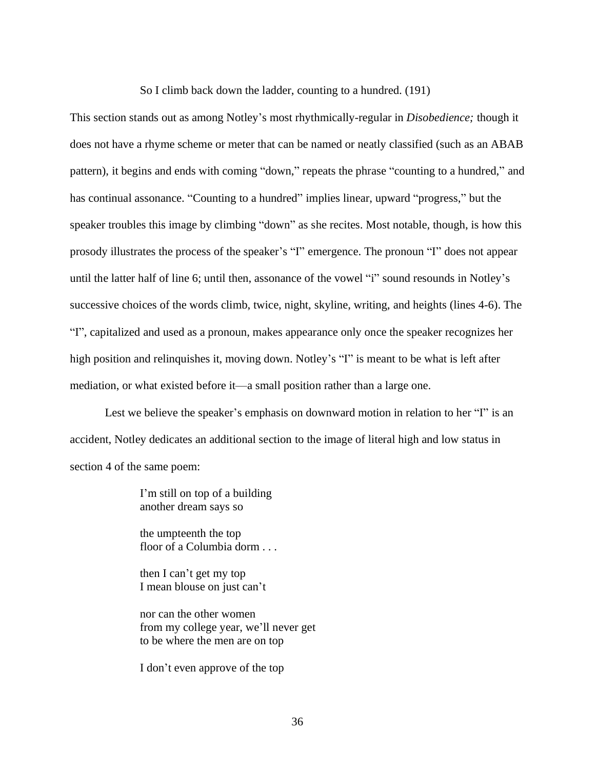So I climb back down the ladder, counting to a hundred. (191)

This section stands out as among Notley's most rhythmically-regular in *Disobedience;* though it does not have a rhyme scheme or meter that can be named or neatly classified (such as an ABAB pattern), it begins and ends with coming "down," repeats the phrase "counting to a hundred," and has continual assonance. "Counting to a hundred" implies linear, upward "progress," but the speaker troubles this image by climbing "down" as she recites. Most notable, though, is how this prosody illustrates the process of the speaker's "I" emergence. The pronoun "I" does not appear until the latter half of line 6; until then, assonance of the vowel "i" sound resounds in Notley's successive choices of the words climb, twice, night, skyline, writing, and heights (lines 4-6). The "I", capitalized and used as a pronoun, makes appearance only once the speaker recognizes her high position and relinquishes it, moving down. Notley's "I" is meant to be what is left after mediation, or what existed before it––a small position rather than a large one.

Lest we believe the speaker's emphasis on downward motion in relation to her "I" is an accident, Notley dedicates an additional section to the image of literal high and low status in section 4 of the same poem:

> I'm still on top of a building another dream says so

the umpteenth the top floor of a Columbia dorm . . .

then I can't get my top I mean blouse on just can't

nor can the other women from my college year, we'll never get to be where the men are on top

I don't even approve of the top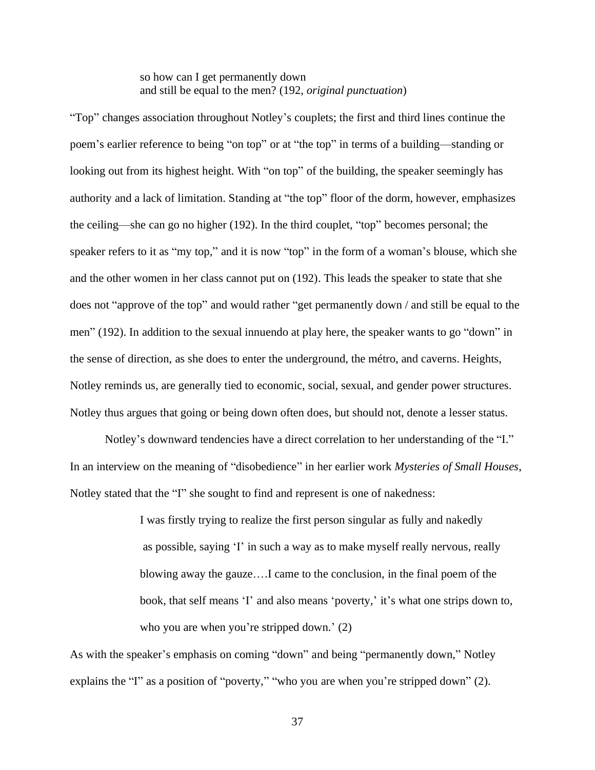so how can I get permanently down and still be equal to the men? (192, *original punctuation*)

"Top" changes association throughout Notley's couplets; the first and third lines continue the poem's earlier reference to being "on top" or at "the top" in terms of a building––standing or looking out from its highest height. With "on top" of the building, the speaker seemingly has authority and a lack of limitation. Standing at "the top" floor of the dorm, however, emphasizes the ceiling––she can go no higher (192). In the third couplet, "top" becomes personal; the speaker refers to it as "my top," and it is now "top" in the form of a woman's blouse, which she and the other women in her class cannot put on (192). This leads the speaker to state that she does not "approve of the top" and would rather "get permanently down / and still be equal to the men" (192). In addition to the sexual innuendo at play here, the speaker wants to go "down" in the sense of direction, as she does to enter the underground, the métro, and caverns. Heights, Notley reminds us, are generally tied to economic, social, sexual, and gender power structures. Notley thus argues that going or being down often does, but should not, denote a lesser status.

Notley's downward tendencies have a direct correlation to her understanding of the "I." In an interview on the meaning of "disobedience" in her earlier work *Mysteries of Small Houses*, Notley stated that the "I" she sought to find and represent is one of nakedness:

> I was firstly trying to realize the first person singular as fully and nakedly as possible, saying 'I' in such a way as to make myself really nervous, really blowing away the gauze….I came to the conclusion, in the final poem of the book, that self means 'I' and also means 'poverty,' it's what one strips down to, who you are when you're stripped down.' (2)

As with the speaker's emphasis on coming "down" and being "permanently down," Notley explains the "I" as a position of "poverty," "who you are when you're stripped down" (2).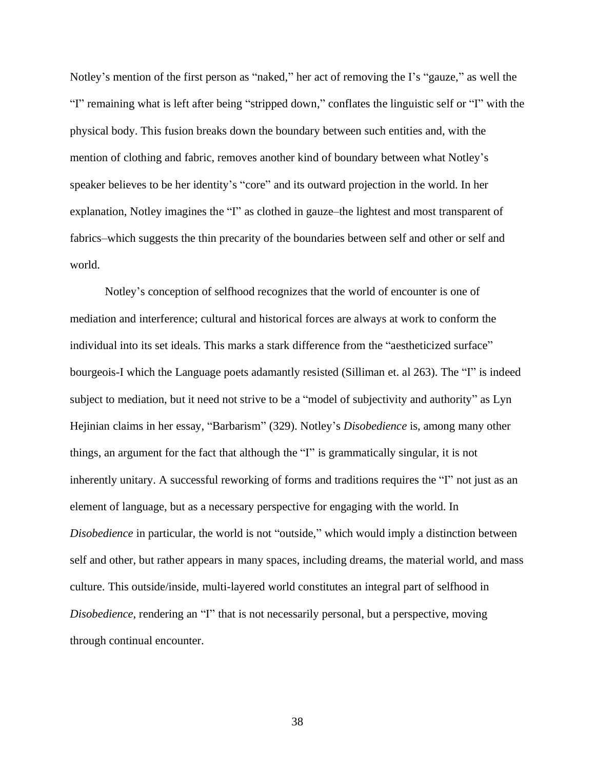Notley's mention of the first person as "naked," her act of removing the I's "gauze," as well the "I" remaining what is left after being "stripped down," conflates the linguistic self or "I" with the physical body. This fusion breaks down the boundary between such entities and, with the mention of clothing and fabric, removes another kind of boundary between what Notley's speaker believes to be her identity's "core" and its outward projection in the world. In her explanation, Notley imagines the "I" as clothed in gauze–the lightest and most transparent of fabrics–which suggests the thin precarity of the boundaries between self and other or self and world.

Notley's conception of selfhood recognizes that the world of encounter is one of mediation and interference; cultural and historical forces are always at work to conform the individual into its set ideals. This marks a stark difference from the "aestheticized surface" bourgeois-I which the Language poets adamantly resisted (Silliman et. al 263). The "I" is indeed subject to mediation, but it need not strive to be a "model of subjectivity and authority" as Lyn Hejinian claims in her essay, "Barbarism" (329). Notley's *Disobedience* is, among many other things, an argument for the fact that although the "I" is grammatically singular, it is not inherently unitary. A successful reworking of forms and traditions requires the "I" not just as an element of language, but as a necessary perspective for engaging with the world. In *Disobedience* in particular*,* the world is not "outside," which would imply a distinction between self and other, but rather appears in many spaces, including dreams, the material world, and mass culture. This outside/inside, multi-layered world constitutes an integral part of selfhood in *Disobedience*, rendering an "I" that is not necessarily personal, but a perspective, moving through continual encounter.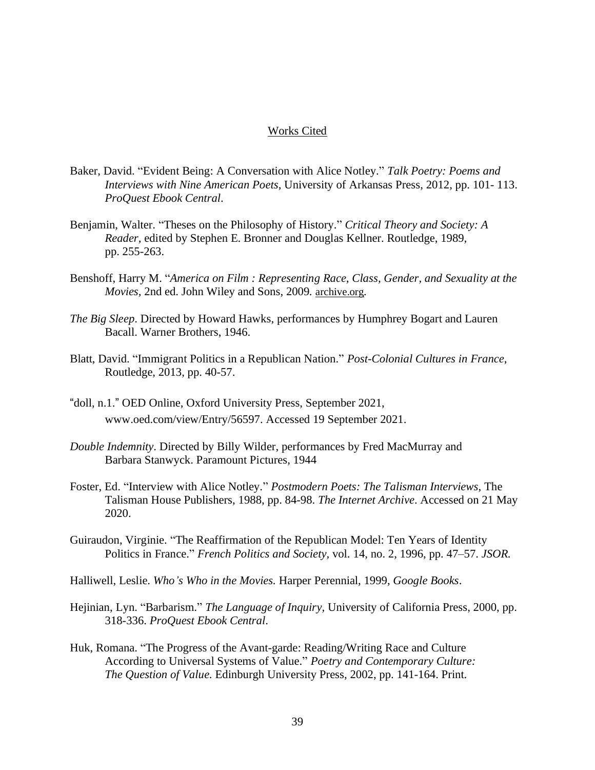## Works Cited

- Baker, David. "Evident Being: A Conversation with Alice Notley." *Talk Poetry: Poems and Interviews with Nine American Poets*, University of Arkansas Press, 2012, pp. 101- 113. *ProQuest Ebook Central*.
- Benjamin, Walter. "Theses on the Philosophy of History." *Critical Theory and Society: A Reader,* edited by Stephen E. Bronner and Douglas Kellner. Routledge, 1989, pp. 255-263.
- Benshoff, Harry M. "*America on Film : Representing Race, Class, Gender, and Sexuality at the Movies,* 2nd ed. John Wiley and Sons, 2009*.* [archive.org](http://archive.org/)*.*
- *The Big Sleep*. Directed by Howard Hawks, performances by Humphrey Bogart and Lauren Bacall. Warner Brothers, 1946.
- Blatt, David. "Immigrant Politics in a Republican Nation." *Post-Colonial Cultures in France*, Routledge, 2013, pp. 40-57.
- "doll, n.1." OED Online, Oxford University Press, September 2021, www.oed.com/view/Entry/56597. Accessed 19 September 2021.
- *Double Indemnity*. Directed by Billy Wilder, performances by Fred MacMurray and Barbara Stanwyck. Paramount Pictures, 1944
- Foster, Ed. "Interview with Alice Notley." *Postmodern Poets: The Talisman Interviews*, The Talisman House Publishers, 1988, pp. 84-98. *The Internet Archive*. Accessed on 21 May 2020.
- Guiraudon, Virginie. "The Reaffirmation of the Republican Model: Ten Years of Identity Politics in France." *French Politics and Society,* vol. 14, no. 2, 1996, pp. 47–57. *JSOR.*
- Halliwell, Leslie. *Who's Who in the Movies.* Harper Perennial, 1999, *Google Books*.
- Hejinian, Lyn. "Barbarism." *The Language of Inquiry,* University of California Press, 2000, pp. 318-336. *ProQuest Ebook Central*.
- Huk, Romana. "The Progress of the Avant-garde: Reading/Writing Race and Culture According to Universal Systems of Value." *Poetry and Contemporary Culture: The Question of Value.* Edinburgh University Press, 2002, pp. 141-164. Print.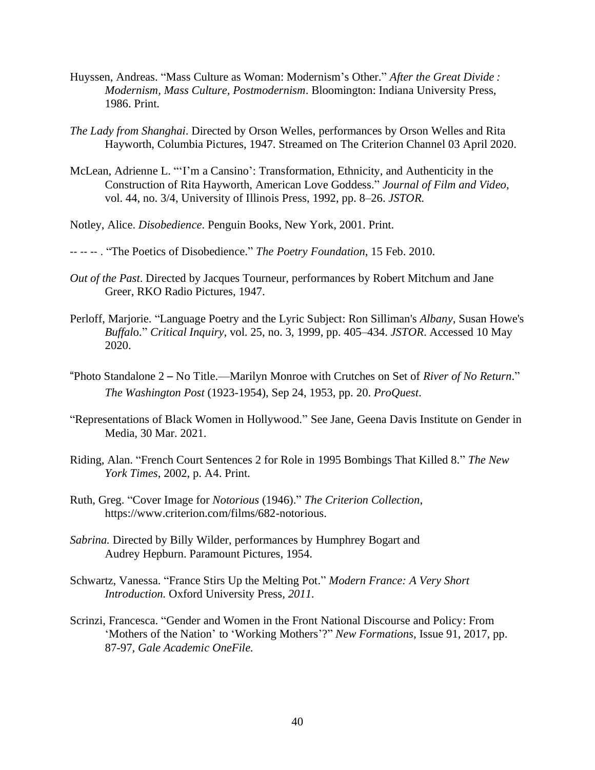- Huyssen, Andreas. "Mass Culture as Woman: Modernism's Other." *After the Great Divide : Modernism, Mass Culture, Postmodernism*. Bloomington: Indiana University Press, 1986. Print.
- *The Lady from Shanghai*. Directed by Orson Welles, performances by Orson Welles and Rita Hayworth, Columbia Pictures, 1947. Streamed on The Criterion Channel 03 April 2020.
- McLean, Adrienne L. "'I'm a Cansino': Transformation, Ethnicity, and Authenticity in the Construction of Rita Hayworth, American Love Goddess." *Journal of Film and Video*, vol. 44, no. 3/4, University of Illinois Press, 1992, pp. 8–26. *JSTOR.*
- Notley, Alice. *Disobedience*. Penguin Books, New York, 2001. Print.
- -- -- -- . "The Poetics of Disobedience." *The Poetry Foundation*, 15 Feb. 2010.
- *Out of the Past*. Directed by Jacques Tourneur, performances by Robert Mitchum and Jane Greer, RKO Radio Pictures, 1947.
- Perloff, Marjorie. "Language Poetry and the Lyric Subject: Ron Silliman's *Albany*, Susan Howe's *Buffal*o." *Critical Inquiry*, vol. 25, no. 3, 1999, pp. 405–434. *JSTOR*. Accessed 10 May 2020.
- "Photo Standalone 2 No Title.––Marilyn Monroe with Crutches on Set of *River of No Return*." *The Washington Post* (1923-1954), Sep 24, 1953, pp. 20. *ProQuest*.
- "Representations of Black Women in Hollywood." See Jane, Geena Davis Institute on Gender in Media, 30 Mar. 2021.
- Riding, Alan. "French Court Sentences 2 for Role in 1995 Bombings That Killed 8." *The New York Times*, 2002, p. A4. Print.
- Ruth, Greg. "Cover Image for *Notorious* (1946)." *The Criterion Collection*, https://www.criterion.com/films/682-notorious.
- *Sabrina.* Directed by Billy Wilder, performances by Humphrey Bogart and Audrey Hepburn. Paramount Pictures, 1954.
- Schwartz, Vanessa. "France Stirs Up the Melting Pot." *Modern France: A Very Short Introduction.* Oxford University Press*, 2011.*
- Scrinzi, Francesca. "Gender and Women in the Front National Discourse and Policy: From 'Mothers of the Nation' to 'Working Mothers'?" *New Formations*, Issue 91, 2017, pp. 87-97, *Gale Academic OneFile.*